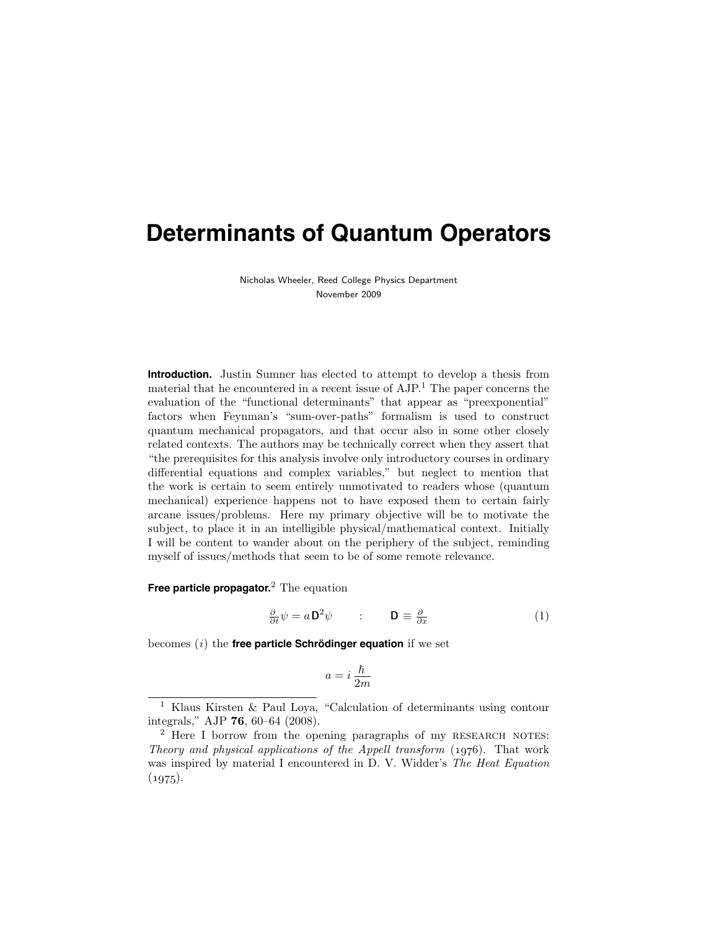Nicholas Wheeler, Reed College Physics Department November 2009

**Introduction.** Justin Sumner has elected to attempt to develop a thesis from material that he encountered in a recent issue of AJP. <sup>1</sup> The paper concerns the evaluation of the "functional determinants" that appear as "preexponential" factors when Feynman's "sum-over-paths" formalism is used to construct quantum mechanical propagators, and that occur also in some other closely related contexts. The authors may be technically correct when they assert that "the prerequisites for this analysis involve only introductory courses in ordinary differential equations and complex variables," but neglect to mention that the work is certain to seem entirely unmotivated to readers whose (quantum mechanical) experience happens not to have exposed them to certain fairly arcane issues/problems. Here my primary objective will be to motivate the subject, to place it in an intelligible physical/mathematical context. Initially I will be content to wander about on the periphery of the subject, reminding myself of issues/methods that seem to be of some remote relevance.

**Free particle propagator.** <sup>2</sup> The equation

$$
\frac{\partial}{\partial t}\psi = a\mathbf{D}^2\psi \qquad : \qquad \mathbf{D} \equiv \frac{\partial}{\partial x} \tag{1}
$$

becomes  $(i)$  the **free particle Schrödinger equation** if we set

$$
a = i \frac{\hslash}{2m}
$$

<sup>1</sup> Klaus Kirsten & Paul Loya, "Calculation of determinants using contour integrals," AJP 76, 60–64 (2008).

<sup>&</sup>lt;sup>2</sup> Here I borrow from the opening paragraphs of my RESEARCH NOTES: Theory and physical applications of the Appell transform  $(1976)$ . That work was inspired by material I encountered in D. V. Widder's The Heat Equation  $(1975).$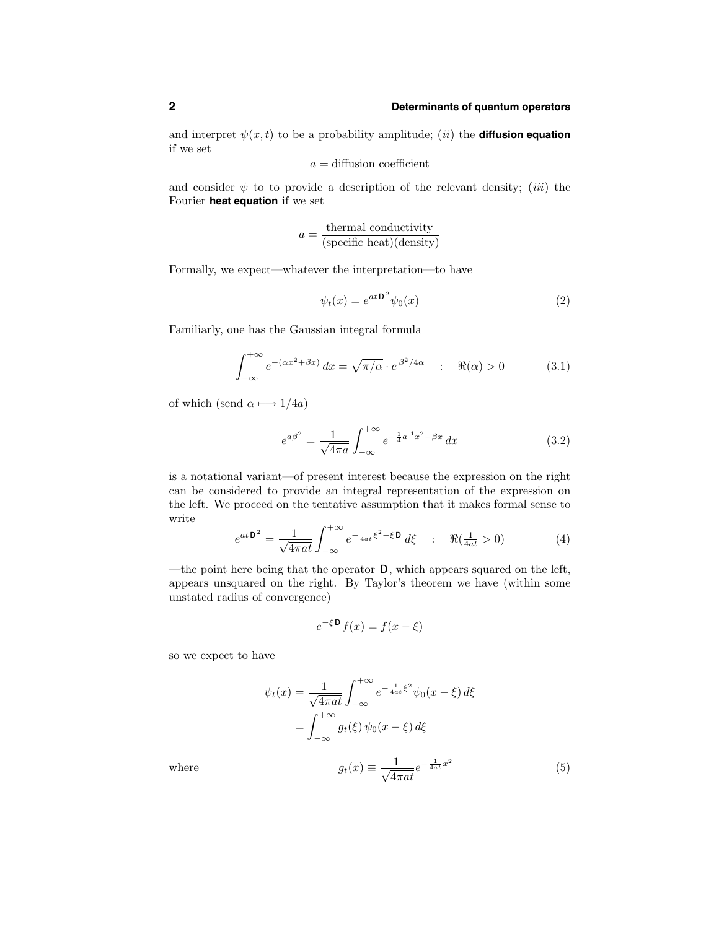and interpret  $\psi(x,t)$  to be a probability amplitude; *(ii)* the **diffusion equation** if we set

$$
a = \text{diffusion coefficient}
$$

and consider  $\psi$  to to provide a description of the relevant density; (iii) the Fourier **heat equation** if we set

$$
a = \frac{\text{thermal conductivity}}{(\text{specific heat})(\text{density})}
$$

Formally, we expect—whatever the interpretation—to have

$$
\psi_t(x) = e^{at \mathbf{D}^2} \psi_0(x) \tag{2}
$$

Familiarly, one has the Gaussian integral formula

$$
\int_{-\infty}^{+\infty} e^{-(\alpha x^2 + \beta x)} dx = \sqrt{\pi/\alpha} \cdot e^{\beta^2/4\alpha} \quad : \quad \Re(\alpha) > 0 \tag{3.1}
$$

of which (send  $\alpha \longmapsto 1/4a$ )

$$
e^{a\beta^2} = \frac{1}{\sqrt{4\pi a}} \int_{-\infty}^{+\infty} e^{-\frac{1}{4}a^{-1}x^2 - \beta x} dx
$$
 (3.2)

is a notational variant—of present interest because the expression on the right can be considered to provide an integral representation of the expression on the left. We proceed on the tentative assumption that it makes formal sense to write

$$
e^{at\mathbf{D}^2} = \frac{1}{\sqrt{4\pi at}} \int_{-\infty}^{+\infty} e^{-\frac{1}{4at}\xi^2 - \xi \mathbf{D}} d\xi \qquad ; \quad \Re(\frac{1}{4at} > 0)
$$
 (4)

—the point here being that the operator  $\mathbf D$ , which appears squared on the left, appears unsquared on the right. By Taylor's theorem we have (within some unstated radius of convergence)

$$
e^{-\xi \mathbf{D}} f(x) = f(x - \xi)
$$

so we expect to have

$$
\psi_t(x) = \frac{1}{\sqrt{4\pi a t}} \int_{-\infty}^{+\infty} e^{-\frac{1}{4at} \xi^2} \psi_0(x - \xi) d\xi
$$

$$
= \int_{-\infty}^{+\infty} g_t(\xi) \psi_0(x - \xi) d\xi
$$

where 
$$
g_t(x) \equiv \frac{1}{\sqrt{4\pi a t}} e^{-\frac{1}{4at}x^2}
$$
 (5)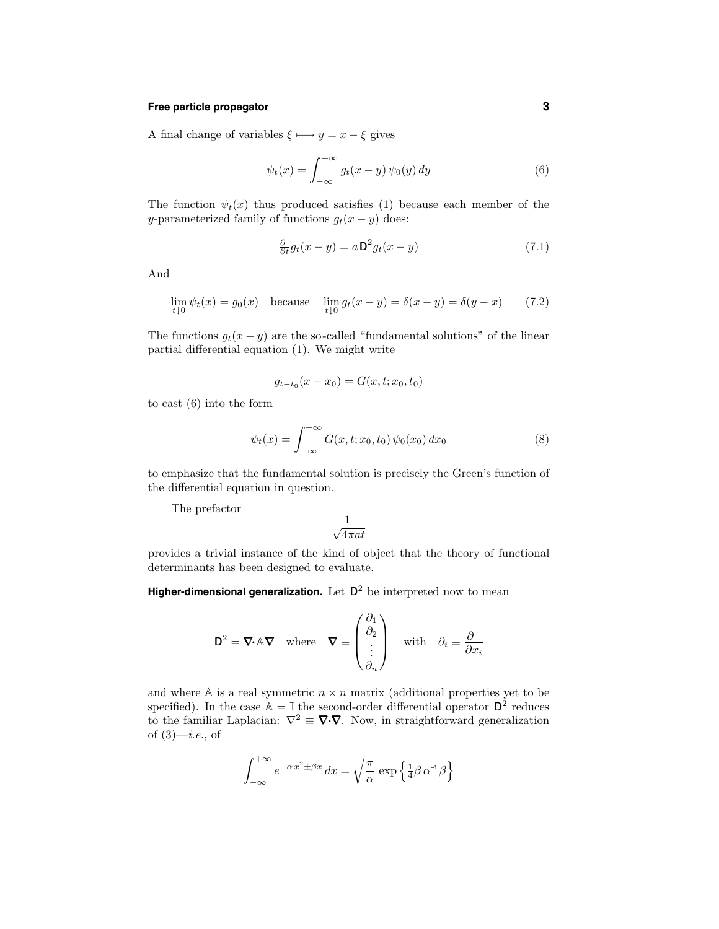## **Free particle propagator 3**

A final change of variables  $\xi \mapsto y = x - \xi$  gives

$$
\psi_t(x) = \int_{-\infty}^{+\infty} g_t(x - y) \psi_0(y) dy \tag{6}
$$

The function  $\psi_t(x)$  thus produced satisfies (1) because each member of the y-parameterized family of functions  $g_t(x - y)$  does:

$$
\frac{\partial}{\partial t}g_t(x-y) = a\mathbf{D}^2 g_t(x-y) \tag{7.1}
$$

And

$$
\lim_{t \downarrow 0} \psi_t(x) = g_0(x) \quad \text{because} \quad \lim_{t \downarrow 0} g_t(x - y) = \delta(x - y) = \delta(y - x) \tag{7.2}
$$

The functions  $g_t(x - y)$  are the so-called "fundamental solutions" of the linear partial differential equation (1). We might write

$$
g_{t-t_0}(x-x_0) = G(x, t; x_0, t_0)
$$

to cast (6) into the form

$$
\psi_t(x) = \int_{-\infty}^{+\infty} G(x, t; x_0, t_0) \psi_0(x_0) dx_0
$$
 (8)

to emphasize that the fundamental solution is precisely the Green's function of the differential equation in question.

The prefactor

$$
\frac{1}{\sqrt{4\pi at}}
$$

provides a trivial instance of the kind of object that the theory of functional determinants has been designed to evaluate.

**Higher-dimensional generalization.** Let  $D^2$  be interpreted now to mean

$$
\mathbf{D}^2 = \nabla \cdot \mathbb{A} \nabla \quad \text{where} \quad \nabla \equiv \begin{pmatrix} \partial_1 \\ \partial_2 \\ \vdots \\ \partial_n \end{pmatrix} \quad \text{with} \quad \partial_i \equiv \frac{\partial}{\partial x_i}
$$

and where  $A$  is a real symmetric  $n \times n$  matrix (additional properties yet to be specified). In the case  $\mathbb{A} = \mathbb{I}$  the second-order differential operator  $\mathbb{D}^2$  reduces to the familiar Laplacian:  $\nabla^2 \equiv \nabla \cdot \nabla$ . Now, in straightforward generalization of  $(3)$ —*i.e.*, of

$$
\int_{-\infty}^{+\infty} e^{-\alpha x^2 \pm \beta x} dx = \sqrt{\frac{\pi}{\alpha}} \exp \left\{ \frac{1}{4} \beta \alpha^{-1} \beta \right\}
$$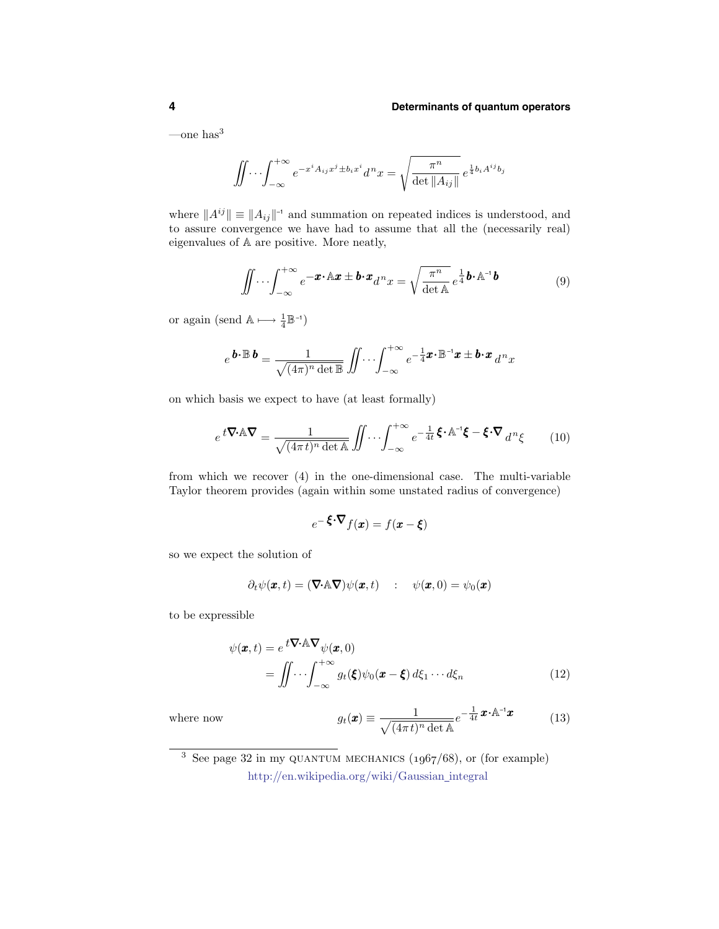—one has $3$ 

$$
\iint \cdots \int_{-\infty}^{+\infty} e^{-x^i A_{ij} x^j \pm b_i x^i} d^n x = \sqrt{\frac{\pi^n}{\det \|A_{ij}\|}} e^{\frac{1}{4} b_i A^{ij} b_j}
$$

where  $||A^{ij}|| \equiv ||A_{ij}||^{-1}$  and summation on repeated indices is understood, and to assure convergence we have had to assume that all the (necessarily real) eigenvalues of A are positive. More neatly,

$$
\iint \cdots \int_{-\infty}^{+\infty} e^{-\boldsymbol{x} \cdot \mathbf{A} \cdot \boldsymbol{x}} \pm \boldsymbol{b} \cdot \boldsymbol{x} \, d^n x = \sqrt{\frac{\pi^n}{\det \mathbf{A}}} \, e^{\frac{1}{4} \boldsymbol{b} \cdot \mathbf{A}^{-1} \boldsymbol{b}} \tag{9}
$$

or again (send  $\mathbb{A} \longmapsto \frac{1}{4} \mathbb{B}^{-1}$ )

$$
e^{\mathbf{b}\cdot\mathbb{B}\mathbf{b}}=\frac{1}{\sqrt{(4\pi)^n\det\mathbb{B}}}\iint\cdots\int_{-\infty}^{+\infty}e^{-\frac{1}{4}\mathbf{x}\cdot\mathbb{B}^{-1}\mathbf{x}}\pm\mathbf{b}\cdot\mathbf{x}\,d^nx
$$

on which basis we expect to have (at least formally)

$$
e^{t\mathbf{\nabla}\cdot\mathbf{A}\mathbf{\nabla}} = \frac{1}{\sqrt{(4\pi t)^n \det \mathbf{A}}} \iint \cdots \int_{-\infty}^{+\infty} e^{-\frac{1}{4t}} \mathbf{\xi} \cdot \mathbf{A}^{-1} \mathbf{\xi} - \mathbf{\xi} \cdot \mathbf{\nabla} d^n \mathbf{\xi}
$$
 (10)

from which we recover (4) in the one-dimensional case. The multi-variable Taylor theorem provides (again within some unstated radius of convergence)

$$
e^{-\xi \cdot \nabla} f(\mathbf{x}) = f(\mathbf{x} - \xi)
$$

so we expect the solution of

$$
\partial_t \psi(\boldsymbol{x},t) = (\boldsymbol{\nabla} \cdot \mathbb{A} \boldsymbol{\nabla}) \psi(\boldsymbol{x},t) \quad : \quad \psi(\boldsymbol{x},0) = \psi_0(\boldsymbol{x})
$$

to be expressible

$$
\psi(\mathbf{x},t) = e^{t\mathbf{\nabla}\cdot\mathbf{A}\mathbf{\nabla}}\psi(\mathbf{x},0)
$$
  
= 
$$
\iint \cdots \int_{-\infty}^{+\infty} g_t(\boldsymbol{\xi})\psi_0(\mathbf{x}-\boldsymbol{\xi}) d\xi_1 \cdots d\xi_n
$$
 (12)

where now

$$
g_t(\mathbf{x}) \equiv \frac{1}{\sqrt{(4\pi t)^n \det \mathbf{A}}} e^{-\frac{1}{4t}} \mathbf{x} \cdot \mathbf{A}^{-1} \mathbf{x}
$$
 (13)

 $\frac{3}{3}$  See page 32 in my QUANTUM MECHANICS (1967/68), or (for example) http://en.wikipedia.org/wiki/Gaussian integral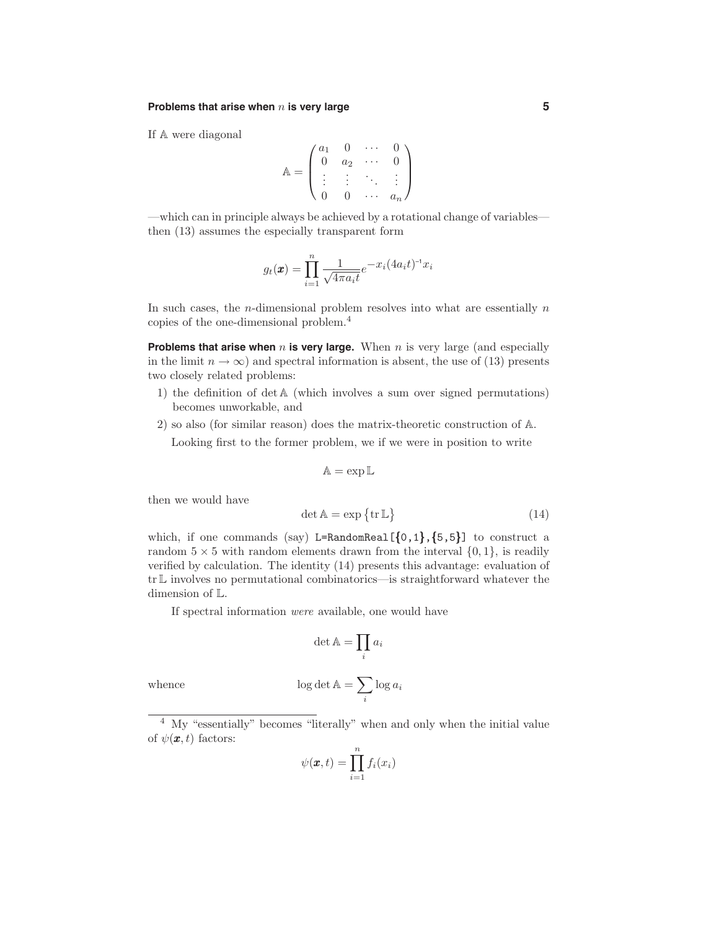## **Problems that arise when** n **is very large 5**

If A were diagonal

$$
\mathbb{A} = \begin{pmatrix} a_1 & 0 & \cdots & 0 \\ 0 & a_2 & \cdots & 0 \\ \vdots & \vdots & \ddots & \vdots \\ 0 & 0 & \cdots & a_n \end{pmatrix}
$$

—which can in principle always be achieved by a rotational change of variables then (13) assumes the especially transparent form

$$
g_t(\boldsymbol{x}) = \prod_{i=1}^n \frac{1}{\sqrt{4\pi a_i t}} e^{-x_i(4a_i t)^{-1}x_i}
$$

In such cases, the *n*-dimensional problem resolves into what are essentially  $n$ copies of the one-dimensional problem.<sup>4</sup>

**Problems that arise when**  $n$  is very large. When  $n$  is very large (and especially in the limit  $n \to \infty$ ) and spectral information is absent, the use of (13) presents two closely related problems:

- 1) the definition of det A (which involves a sum over signed permutations) becomes unworkable, and
- 2) so also (for similar reason) does the matrix-theoretic construction of A. Looking first to the former problem, we if we were in position to write

$$
\mathbb{A}=\exp\mathbb{L}
$$

then we would have

$$
\det \mathbb{A} = \exp \{ \text{tr} \, \mathbb{L} \} \tag{14}
$$

which, if one commands (say) L=RandomReal  $[\{0,1\},\{5,5\}]$  to construct a random  $5 \times 5$  with random elements drawn from the interval  $\{0, 1\}$ , is readily verified by calculation. The identity (14) presents this advantage: evaluation of trL involves no permutational combinatorics—is straightforward whatever the dimension of L.

If spectral information were available, one would have

$$
\det \mathbb{A} = \prod_i a_i
$$

whence  $\log \det A = \sum$ 

<sup>4</sup> My "essentially" becomes "literally" when and only when the initial value of  $\psi(\mathbf{x},t)$  factors:

i

 $\log a_i$ 

$$
\psi(\pmb{x},t)=\prod_{i=1}^n f_i(x_i)
$$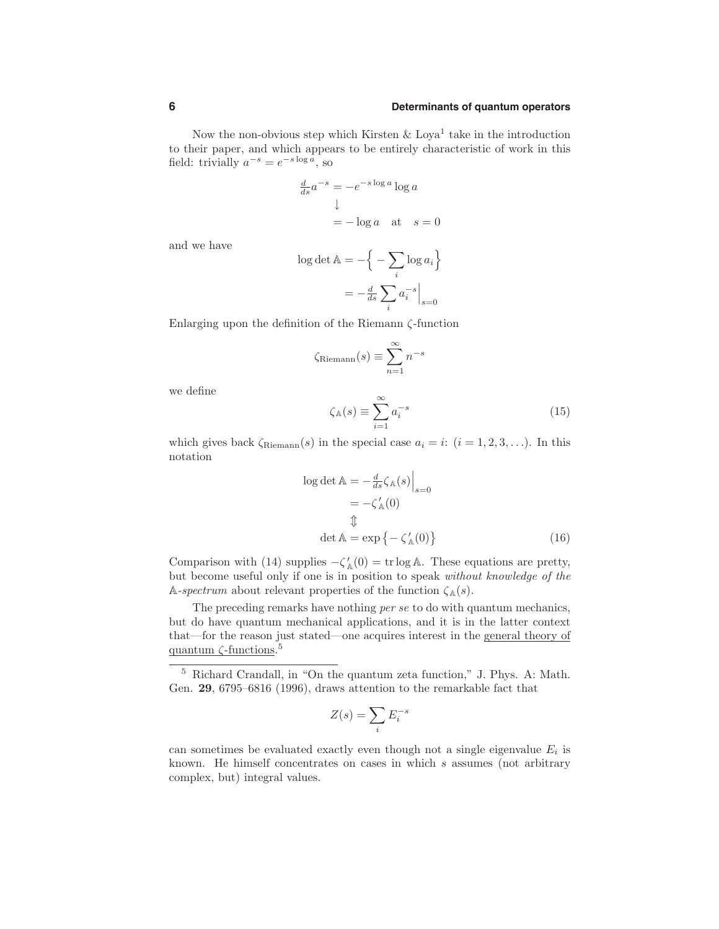Now the non-obvious step which Kirsten  $\&$  Loya<sup>1</sup> take in the introduction to their paper, and which appears to be entirely characteristic of work in this field: trivially  $a^{-s} = e^{-s \log a}$ , so

$$
\frac{d}{ds}a^{-s} = -e^{-s \log a} \log a
$$

$$
\downarrow
$$

$$
= -\log a \quad \text{at} \quad s = 0
$$

and we have

$$
\log \det \mathbb{A} = -\left\{ -\sum_{i} \log a_i \right\}
$$

$$
= -\frac{d}{ds} \sum_{i} a_i^{-s} \Big|_{s=0}
$$

Enlarging upon the definition of the Riemann ζ-function

$$
\zeta_{\text{Riemann}}(s) \equiv \sum_{n=1}^{\infty} n^{-s}
$$

we define

$$
\zeta_{\mathbb{A}}(s) \equiv \sum_{i=1}^{\infty} a_i^{-s} \tag{15}
$$

which gives back  $\zeta_{\text{Riemann}}(s)$  in the special case  $a_i = i$ :  $(i = 1, 2, 3, ...)$ . In this notation

$$
\log \det \mathbb{A} = -\frac{d}{ds} \zeta_{\mathbb{A}}(s) \Big|_{s=0}
$$
  
=  $-\zeta'_{\mathbb{A}}(0)$   
 $\text{L}$   

$$
\det \mathbb{A} = \exp \{-\zeta'_{\mathbb{A}}(0)\}\
$$
 (16)

Comparison with (14) supplies  $-\zeta_{\mathbb{A}}(0) = \text{tr} \log \mathbb{A}$ . These equations are pretty, but become useful only if one is in position to speak without knowledge of the A-spectrum about relevant properties of the function  $\zeta_{\mathbb{A}}(s)$ .

The preceding remarks have nothing per se to do with quantum mechanics, but do have quantum mechanical applications, and it is in the latter context that—for the reason just stated—one acquires interest in the general theory of quantum ζ-functions. 5

$$
Z(s) = \sum_{i} E_i^{-s}
$$

can sometimes be evaluated exactly even though not a single eigenvalue  $E_i$  is known. He himself concentrates on cases in which s assumes (not arbitrary complex, but) integral values.

<sup>5</sup> Richard Crandall, in "On the quantum zeta function," J. Phys. A: Math. Gen. 29, 6795–6816 (1996), draws attention to the remarkable fact that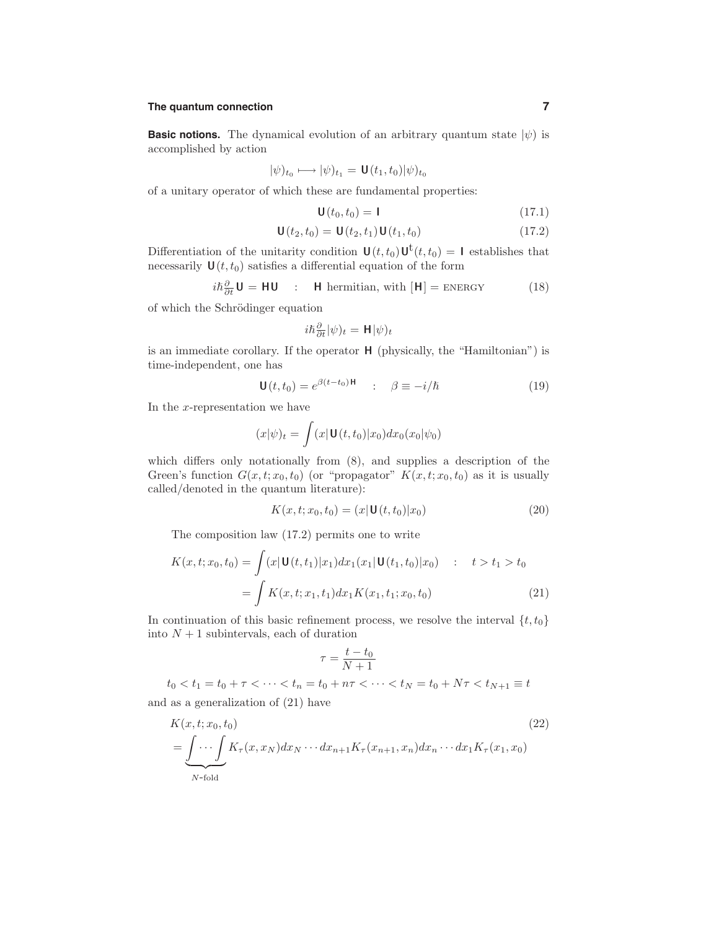## **The quantum connection 7**

**Basic notions.** The dynamical evolution of an arbitrary quantum state  $|\psi\rangle$  is accomplished by action

$$
|\psi)_{t_0}\longmapsto |\psi)_{t_1}=\mathbf{U}(t_1,t_0)|\psi)_{t_0}
$$

of a unitary operator of which these are fundamental properties:

$$
\mathbf{U}(t_0, t_0) = \mathbf{I} \tag{17.1}
$$

$$
\mathbf{U}(t_2, t_0) = \mathbf{U}(t_2, t_1) \mathbf{U}(t_1, t_0)
$$
\n(17.2)

Differentiation of the unitarity condition  $\mathbf{U}(t,t_0)\mathbf{U}^{t}(t,t_0) = \mathbf{I}$  establishes that necessarily  $\mathbf{U}(t,t_0)$  satisfies a differential equation of the form

$$
i\hbar \frac{\partial}{\partial t} \mathbf{U} = \mathbf{H} \mathbf{U} \quad : \quad \mathbf{H} \text{ hermitian, with } [\mathbf{H}] = \text{ENERGY} \tag{18}
$$

of which the Schrödinger equation

$$
i\hbar\frac{\partial}{\partial t}|\psi)_t = \mathbf{H}|\psi)_t
$$

is an immediate corollary. If the operator H (physically, the "Hamiltonian") is time-independent, one has

$$
\mathbf{U}(t, t_0) = e^{\beta (t - t_0) \mathbf{H}} \qquad : \qquad \beta \equiv -i/\hbar \tag{19}
$$

In the  $x$ -representation we have

$$
(x|\psi)_t = \int (x|\mathbf{U}(t,t_0)|x_0)dx_0(x_0|\psi_0)
$$

which differs only notationally from  $(8)$ , and supplies a description of the Green's function  $G(x,t;x_0,t_0)$  (or "propagator"  $K(x,t;x_0,t_0)$  as it is usually called/denoted in the quantum literature):

$$
K(x, t; x_0, t_0) = (x | \mathbf{U}(t, t_0) | x_0)
$$
\n(20)

The composition law (17.2) permits one to write

$$
K(x, t; x_0, t_0) = \int (x|\mathbf{U}(t, t_1)|x_1) dx_1(x_1|\mathbf{U}(t_1, t_0)|x_0) : t > t_1 > t_0
$$
  
= 
$$
\int K(x, t; x_1, t_1) dx_1 K(x_1, t_1; x_0, t_0)
$$
 (21)

In continuation of this basic refinement process, we resolve the interval  $\{t,t_0\}$ into  $N+1$  subintervals, each of duration

$$
\tau = \frac{t-t_0}{N+1}
$$

 $t_0 < t_1 = t_0 + \tau < \cdots < t_n = t_0 + n\tau < \cdots < t_N = t_0 + N\tau < t_{N+1} \equiv t$ 

and as a generalization of (21) have

$$
K(x,t;x_0,t_0)
$$
\n
$$
= \underbrace{\int \cdots \int}_{N\text{-fold}} K_{\tau}(x,x_N) dx_N \cdots dx_{n+1} K_{\tau}(x_{n+1},x_n) dx_n \cdots dx_1 K_{\tau}(x_1,x_0)
$$
\n
$$
(22)
$$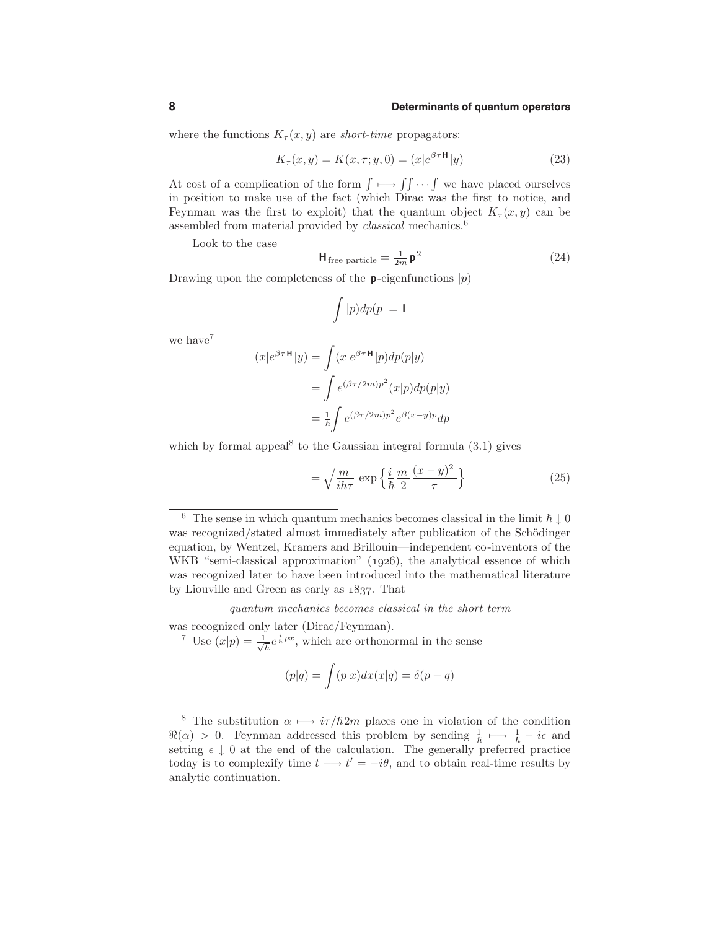where the functions  $K_\tau(x, y)$  are *short-time* propagators:

$$
K_{\tau}(x, y) = K(x, \tau; y, 0) = (x|e^{\beta \tau \mathbf{H}}|y)
$$
\n(23)

At cost of a complication of the form  $\int \longrightarrow \int \int \cdots \int$  we have placed ourselves in position to make use of the fact (which Dirac was the first to notice, and Feynman was the first to exploit) that the quantum object  $K_\tau(x, y)$  can be assembled from material provided by *classical* mechanics.<sup>6</sup>

Look to the case

$$
\mathbf{H}_{\text{free particle}} = \frac{1}{2m} \mathbf{p}^2 \tag{24}
$$

Drawing upon the completeness of the **p**-eigenfunctions  $|p\rangle$ 

$$
\int |p) dp(p| = 1
$$

we have<sup>7</sup>

$$
(x|e^{\beta \tau \mathbf{H}}|y) = \int (x|e^{\beta \tau \mathbf{H}}|p)dp(p|y)
$$
  
= 
$$
\int e^{(\beta \tau/2m)p^2}(x|p)dp(p|y)
$$
  
= 
$$
\frac{1}{h} \int e^{(\beta \tau/2m)p^2} e^{\beta(x-y)p} dp
$$

which by formal appeal<sup>8</sup> to the Gaussian integral formula  $(3.1)$  gives

$$
= \sqrt{\frac{m}{ih\tau}} \exp\left\{\frac{i}{\hbar} \frac{m}{2} \frac{(x-y)^2}{\tau}\right\} \tag{25}
$$

quantum mechanics becomes classical in the short term

was recognized only later (Dirac/Feynman).

<sup>7</sup> Use  $(x|p) = \frac{1}{\sqrt{h}}e^{\frac{i}{h}px}$ , which are orthonormal in the sense

$$
(p|q) = \int (p|x)dx(x|q) = \delta(p-q)
$$

<sup>8</sup> The substitution  $\alpha \mapsto i\tau/\hbar 2m$  places one in violation of the condition  $\Re(\alpha) > 0$ . Feynman addressed this problem by sending  $\frac{1}{\hbar} \mapsto \frac{1}{\hbar} - i\epsilon$  and setting  $\epsilon \downarrow 0$  at the end of the calculation. The generally preferred practice today is to complexify time  $t \mapsto t' = -i\theta$ , and to obtain real-time results by analytic continuation.

<sup>&</sup>lt;sup>6</sup> The sense in which quantum mechanics becomes classical in the limit  $\hbar \downarrow 0$ was recognized/stated almost immediately after publication of the Schödinger equation, by Wentzel, Kramers and Brillouin—independent co-inventors of the WKB "semi-classical approximation"  $(1926)$ , the analytical essence of which was recognized later to have been introduced into the mathematical literature by Liouville and Green as early as  $1837$ . That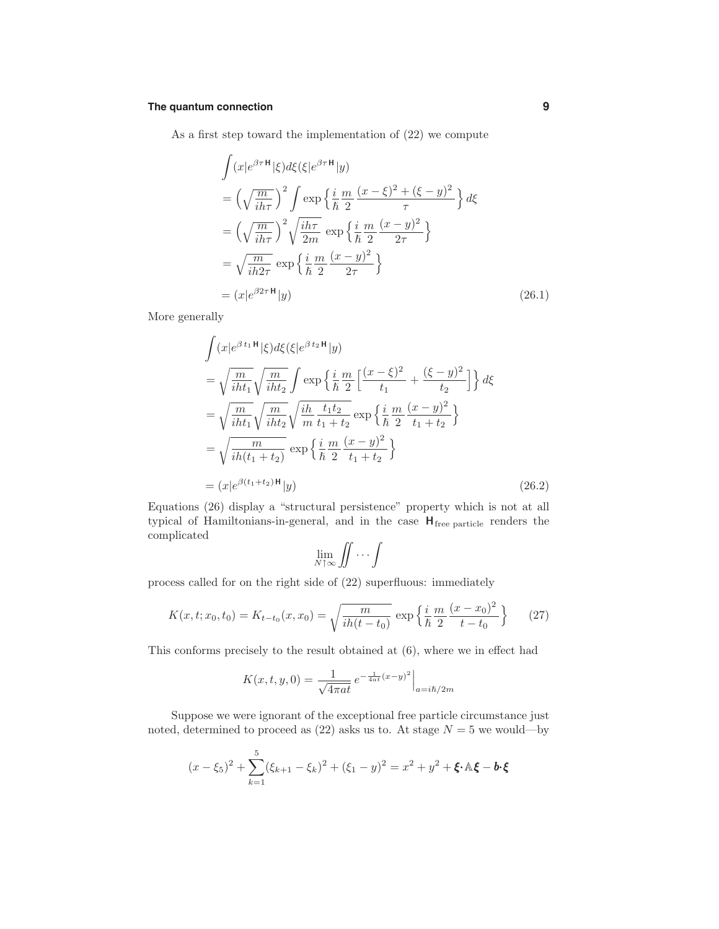## **The quantum connection 9**

As a first step toward the implementation of (22) we compute

$$
\int (x|e^{\beta \tau} \mathbf{H}|\xi) d\xi (\xi|e^{\beta \tau} \mathbf{H}|y) \n= \left(\sqrt{\frac{m}{ih\tau}}\right)^2 \int \exp\left\{\frac{i}{\hbar} \frac{m}{2} \frac{(x-\xi)^2 + (\xi - y)^2}{\tau}\right\} d\xi \n= \left(\sqrt{\frac{m}{ih\tau}}\right)^2 \sqrt{\frac{ih\tau}{2m}} \exp\left\{\frac{i}{\hbar} \frac{m}{2} \frac{(x - y)^2}{2\tau}\right\} \n= \sqrt{\frac{m}{ih2\tau}} \exp\left\{\frac{i}{\hbar} \frac{m}{2} \frac{(x - y)^2}{2\tau}\right\} \n= (x|e^{\beta 2\tau} \mathbf{H}|y)
$$
\n(26.1)

More generally

$$
\int (x|e^{\beta t_1 \mathbf{H}} |\xi) d\xi (\xi|e^{\beta t_2 \mathbf{H}} |y) \n= \sqrt{\frac{m}{iht_1}} \sqrt{\frac{m}{iht_2}} \int \exp \left\{ \frac{i}{\hbar} \frac{m}{2} \left[ \frac{(x-\xi)^2}{t_1} + \frac{(\xi-y)^2}{t_2} \right] \right\} d\xi \n= \sqrt{\frac{m}{iht_1}} \sqrt{\frac{m}{iht_2}} \sqrt{\frac{i\hbar}{m} \frac{t_1 t_2}{t_1 + t_2}} \exp \left\{ \frac{i}{\hbar} \frac{m}{2} \frac{(x-y)^2}{t_1 + t_2} \right\} \n= \sqrt{\frac{m}{i\hbar(t_1 + t_2)}} \exp \left\{ \frac{i}{\hbar} \frac{m}{2} \frac{(x-y)^2}{t_1 + t_2} \right\} \n= (x|e^{\beta (t_1 + t_2) \mathbf{H}} |y)
$$
\n(26.2)

Equations (26) display a "structural persistence" property which is not at all typical of Hamiltonians-in-general, and in the case  $H_{\text{free particle}}$  renders the complicated

$$
\lim_{N\uparrow\infty}\iint\cdots\int
$$

process called for on the right side of (22) superfluous: immediately

$$
K(x, t; x_0, t_0) = K_{t-t_0}(x, x_0) = \sqrt{\frac{m}{ih(t-t_0)}} \exp\left\{\frac{i}{\hbar} \frac{m}{2} \frac{(x-x_0)^2}{t-t_0}\right\} \tag{27}
$$

This conforms precisely to the result obtained at (6), where we in effect had

$$
K(x, t, y, 0) = \frac{1}{\sqrt{4\pi a t}} e^{-\frac{1}{4at}(x-y)^2} \Big|_{a=i\hbar/2m}
$$

Suppose we were ignorant of the exceptional free particle circumstance just noted, determined to proceed as  $(22)$  asks us to. At stage  $N = 5$  we would—by

$$
(x - \xi_5)^2 + \sum_{k=1}^5 (\xi_{k+1} - \xi_k)^2 + (\xi_1 - y)^2 = x^2 + y^2 + \xi \cdot \mathbb{A} \xi - \mathbf{b} \cdot \xi
$$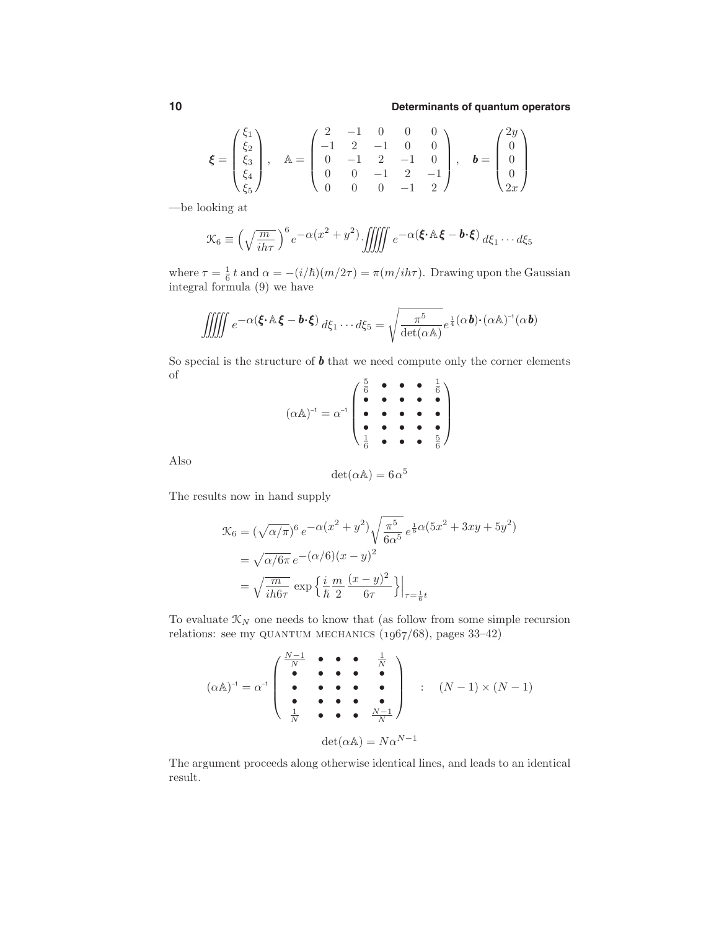$$
\boldsymbol{\xi} = \begin{pmatrix} \xi_1 \\ \xi_2 \\ \xi_3 \\ \xi_4 \\ \xi_5 \end{pmatrix}, \quad \mathbb{A} = \begin{pmatrix} 2 & -1 & 0 & 0 & 0 \\ -1 & 2 & -1 & 0 & 0 \\ 0 & -1 & 2 & -1 & 0 \\ 0 & 0 & -1 & 2 & -1 \\ 0 & 0 & 0 & -1 & 2 \end{pmatrix}, \quad \boldsymbol{b} = \begin{pmatrix} 2y \\ 0 \\ 0 \\ 0 \\ 2x \end{pmatrix}
$$

—be looking at

$$
\mathcal{K}_6 \equiv \left(\sqrt{\frac{m}{ih\tau}}\right)^6 e^{-\alpha(x^2+y^2)} \iiint\!\!\!\iiint e^{-\alpha(\xi \cdot \mathbb{A} \xi - \mathbf{b} \cdot \xi)} d\xi_1 \cdots d\xi_5
$$

where  $\tau = \frac{1}{6} t$  and  $\alpha = -(i/\hbar)(m/2\tau) = \pi(m/ih\tau)$ . Drawing upon the Gaussian integral formula (9) we have

$$
\iiint e^{-\alpha(\boldsymbol{\xi}\cdot\mathbb{A}\boldsymbol{\xi}-\boldsymbol{b}\cdot\boldsymbol{\xi})} d\xi_1\cdots d\xi_5 = \sqrt{\frac{\pi^5}{\det(\alpha\mathbb{A})}} e^{\frac{1}{4}(\alpha\boldsymbol{b})\cdot(\alpha\mathbb{A})^{-1}(\alpha\boldsymbol{b})}
$$

So special is the structure of  $\pmb{b}$  that we need compute only the corner elements of 5

$$
(\alpha \mathbb{A})^{-1} = \alpha^{-1} \begin{pmatrix} \frac{5}{6} & \bullet & \bullet & \bullet & \frac{1}{6} \\ \bullet & \bullet & \bullet & \bullet & \bullet \\ \bullet & \bullet & \bullet & \bullet & \bullet \\ \frac{1}{6} & \bullet & \bullet & \bullet & \frac{5}{6} \end{pmatrix}
$$

Also

$$
\det(\alpha \mathbb{A}) = 6\alpha^5
$$

The results now in hand supply

$$
\mathcal{K}_6 = (\sqrt{\alpha/\pi})^6 e^{-\alpha(x^2 + y^2)} \sqrt{\frac{\pi^5}{6\alpha^5}} e^{\frac{1}{6}\alpha(5x^2 + 3xy + 5y^2)} \n= \sqrt{\alpha/6\pi} e^{-(\alpha/6)(x - y)^2} \n= \sqrt{\frac{m}{ih6\tau}} \exp\left\{\frac{i}{\hbar} \frac{m}{2} \frac{(x - y)^2}{6\tau}\right\}\Big|_{\tau = \frac{1}{6}t}
$$

To evaluate  $\mathcal{K}_N$  one needs to know that (as follow from some simple recursion relations: see my QUANTUM MECHANICS  $(1967/68)$ , pages 33-42)

$$
(\alpha \mathbb{A})^{-1} = \alpha^{-1} \begin{pmatrix} \frac{N-1}{N} & \bullet & \bullet & \bullet & \frac{1}{N} \\ \bullet & \bullet & \bullet & \bullet & \bullet \\ \bullet & \bullet & \bullet & \bullet & \bullet \\ \frac{1}{N} & \bullet & \bullet & \bullet & \frac{N-1}{N} \end{pmatrix} : (N-1) \times (N-1)
$$

$$
\det(\alpha \mathbb{A}) = N\alpha^{N-1}
$$

The argument proceeds along otherwise identical lines, and leads to an identical result.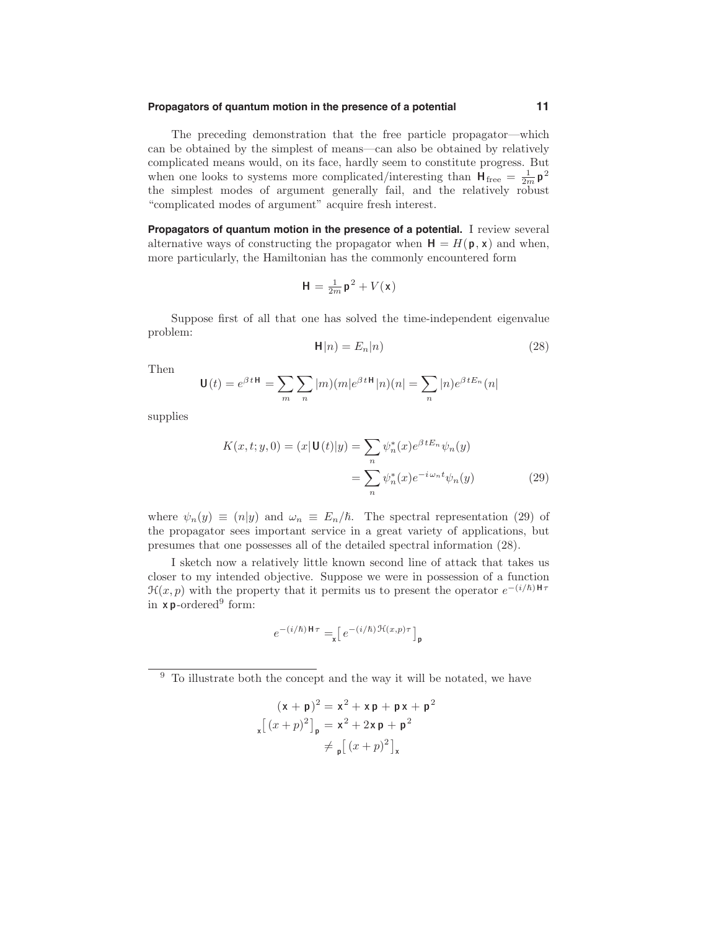#### **Propagators of quantum motion in the presence of a potential 11**

The preceding demonstration that the free particle propagator—which can be obtained by the simplest of means—can also be obtained by relatively complicated means would, on its face, hardly seem to constitute progress. But when one looks to systems more complicated/interesting than  $H_{\text{free}} = \frac{1}{2m} p^2$ the simplest modes of argument generally fail, and the relatively robust "complicated modes of argument" acquire fresh interest.

**Propagators of quantum motion in the presence of a potential.** I review several alternative ways of constructing the propagator when  $H = H(p, x)$  and when, more particularly, the Hamiltonian has the commonly encountered form

$$
\mathbf{H} = \frac{1}{2m}\mathbf{p}^2 + V(\mathbf{x})
$$

Suppose first of all that one has solved the time-independent eigenvalue problem:

$$
\mathbf{H}|n) = E_n|n\rangle\tag{28}
$$

Then

$$
\mathbf{U}(t) = e^{\beta t \mathbf{H}} = \sum_{m} \sum_{n} |m\rangle (m|e^{\beta t \mathbf{H}}|n\rangle (n) = \sum_{n} |n\rangle e^{\beta t E_n} (n)
$$

supplies

$$
K(x,t;y,0) = (x|\mathbf{U}(t)|y) = \sum_{n} \psi_n^*(x)e^{\beta t E_n} \psi_n(y)
$$

$$
= \sum_{n} \psi_n^*(x)e^{-i\omega_n t} \psi_n(y) \tag{29}
$$

where  $\psi_n(y) \equiv (n|y)$  and  $\omega_n \equiv E_n/\hbar$ . The spectral representation (29) of the propagator sees important service in a great variety of applications, but presumes that one possesses all of the detailed spectral information (28).

I sketch now a relatively little known second line of attack that takes us closer to my intended objective. Suppose we were in possession of a function  $\mathcal{H}(x, p)$  with the property that it permits us to present the operator  $e^{-(i/\hbar)H\tau}$ in  $x p$ -ordered<sup>9</sup> form:

$$
e^{-(i/\hbar)\mathbf{H}\tau} = \mathbf{I} \left[ e^{-(i/\hbar)\mathcal{H}(x,p)\tau} \right]_{\mathbf{p}}
$$

<sup>9</sup> To illustrate both the concept and the way it will be notated, we have

$$
(\mathbf{x} + \mathbf{p})^2 = \mathbf{x}^2 + \mathbf{x}\mathbf{p} + \mathbf{p}\mathbf{x} + \mathbf{p}^2
$$
  

$$
\mathbf{x} \left[ (x+p)^2 \right]_{\mathbf{p}} = \mathbf{x}^2 + 2\mathbf{x}\mathbf{p} + \mathbf{p}^2
$$
  

$$
\neq \mathbf{p} \left[ (x+p)^2 \right]_{\mathbf{x}}
$$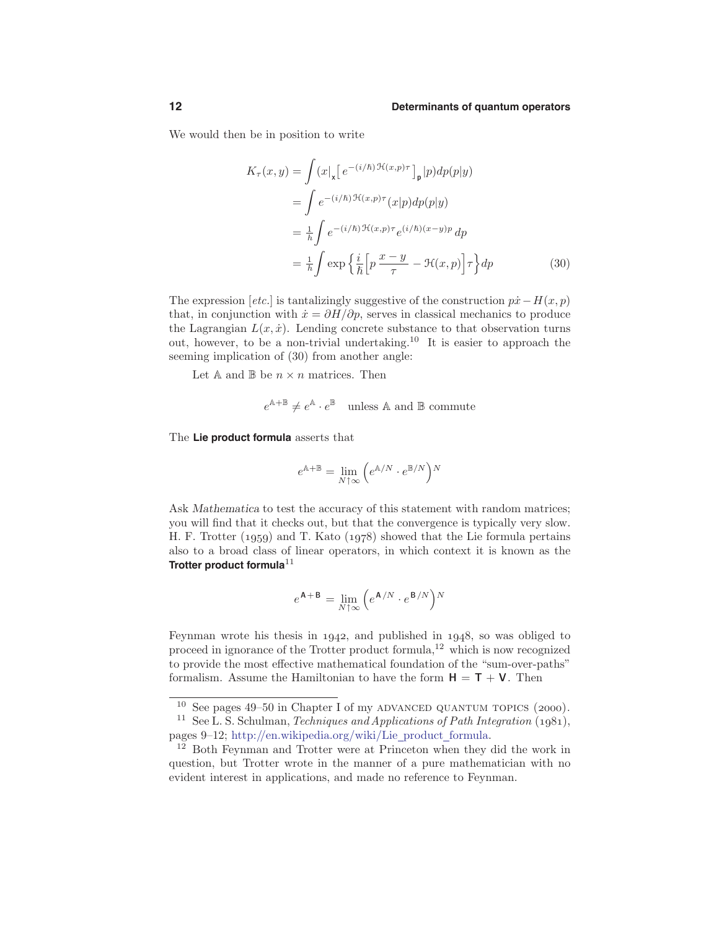We would then be in position to write

$$
K_{\tau}(x,y) = \int (x|_{\mathbf{x}} \Big[ e^{-(i/\hbar) \mathcal{H}(x,p)\tau} \Big]_{\mathbf{p}} |p) dp(p|y)
$$
  
\n
$$
= \int e^{-(i/\hbar) \mathcal{H}(x,p)\tau} (x|p) dp(p|y)
$$
  
\n
$$
= \frac{1}{\hbar} \int e^{-(i/\hbar) \mathcal{H}(x,p)\tau} e^{(i/\hbar)(x-y)p} dp
$$
  
\n
$$
= \frac{1}{\hbar} \int \exp \left\{ \frac{i}{\hbar} \Big[ p \frac{x-y}{\tau} - \mathcal{H}(x,p) \Big] \tau \right\} dp
$$
 (30)

The expression [etc.] is tantalizingly suggestive of the construction  $p\dot{x} - H(x, p)$ that, in conjunction with  $\dot{x} = \partial H/\partial p$ , serves in classical mechanics to produce the Lagrangian  $L(x, \dot{x})$ . Lending concrete substance to that observation turns out, however, to be a non-trivial undertaking.<sup>10</sup> It is easier to approach the seeming implication of (30) from another angle:

Let A and B be  $n \times n$  matrices. Then

$$
e^{\mathbb{A} + \mathbb{B}} \neq e^{\mathbb{A}} \cdot e^{\mathbb{B}}
$$
 unless  $\mathbb{A}$  and  $\mathbb{B}$  commute

The **Lie product formula** asserts that

$$
e^{\mathbb{A}+\mathbb{B}}=\lim_{N\uparrow\infty}\Big(e^{\mathbb{A}/N}\cdot e^{\mathbb{B}/N}\Big)^N
$$

Ask Mathematica to test the accuracy of this statement with random matrices; you will find that it checks out, but that the convergence is typically very slow. H. F. Trotter  $(1959)$  and T. Kato  $(1978)$  showed that the Lie formula pertains also to a broad class of linear operators, in which context it is known as the **Trotter product formula**<sup>11</sup>

$$
e^{\mathbf{A} + \mathbf{B}} = \lim_{N \uparrow \infty} \left( e^{\mathbf{A}/N} \cdot e^{\mathbf{B}/N} \right)^N
$$

Feynman wrote his thesis in  $1942$ , and published in  $1948$ , so was obliged to proceed in ignorance of the Trotter product formula,<sup>12</sup> which is now recognized to provide the most effective mathematical foundation of the "sum-over-paths" formalism. Assume the Hamiltonian to have the form  $H = T + V$ . Then

 $10$  See pages 49–50 in Chapter I of my ADVANCED QUANTUM TOPICS (2000).

<sup>&</sup>lt;sup>11</sup> See L. S. Schulman, *Techniques and Applications of Path Integration* ( $1981$ ), pages 9-12; http://en.wikipedia.org/wiki/Lie\_product\_formula.

<sup>&</sup>lt;sup>12</sup> Both Feynman and Trotter were at Princeton when they did the work in question, but Trotter wrote in the manner of a pure mathematician with no evident interest in applications, and made no reference to Feynman.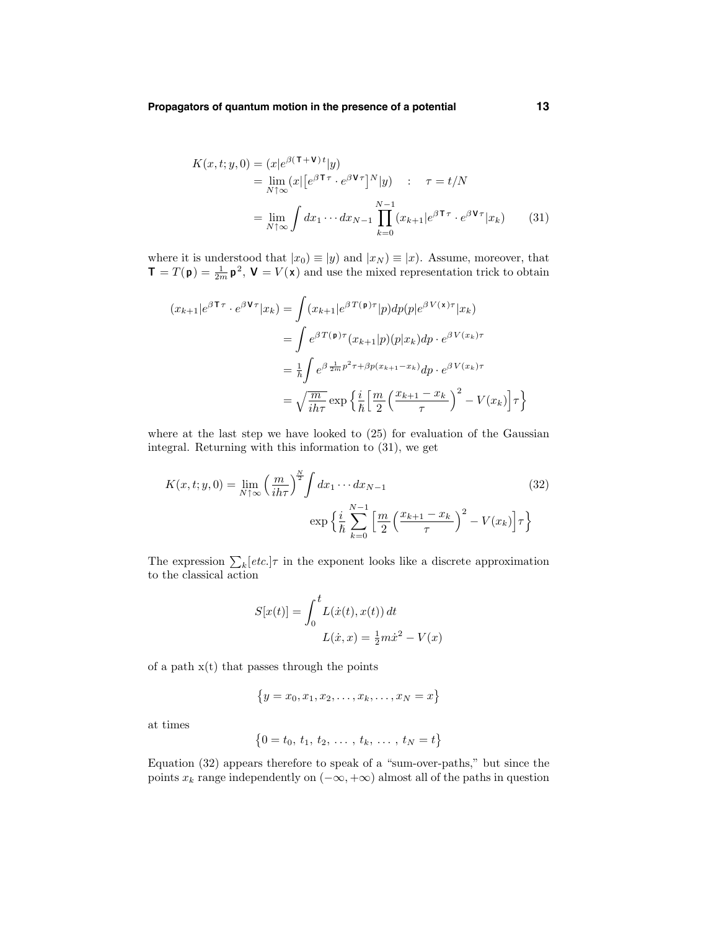$$
K(x,t;y,0) = (x|e^{\beta(\tau+\mathbf{V})t}|y)
$$
  
=  $\lim_{N \uparrow \infty} (x| [e^{\beta \tau \tau} \cdot e^{\beta \mathbf{V} \tau}]^N |y)$  :  $\tau = t/N$   
=  $\lim_{N \uparrow \infty} \int dx_1 \cdots dx_{N-1} \prod_{k=0}^{N-1} (x_{k+1}|e^{\beta \tau \tau} \cdot e^{\beta \mathbf{V} \tau} |x_k)$  (31)

where it is understood that  $|x_0| \equiv |y|$  and  $|x_N| \equiv |x|$ . Assume, moreover, that  $\mathbf{T} = T(\mathbf{p}) = \frac{1}{2m} \mathbf{p}^2$ ,  $\mathbf{V} = V(\mathbf{x})$  and use the mixed representation trick to obtain

$$
(x_{k+1}|e^{\beta \mathbf{T}\tau} \cdot e^{\beta \mathbf{V}\tau}|x_k) = \int (x_{k+1}|e^{\beta T(\mathbf{p})\tau}|p)dp(p|e^{\beta V(\mathbf{x})\tau}|x_k)
$$
  

$$
= \int e^{\beta T(\mathbf{p})\tau}(x_{k+1}|p)(p|x_k)dp \cdot e^{\beta V(x_k)\tau}
$$
  

$$
= \frac{1}{\hbar} \int e^{\beta \frac{1}{2m}p^2\tau + \beta p(x_{k+1} - x_k)}dp \cdot e^{\beta V(x_k)\tau}
$$
  

$$
= \sqrt{\frac{m}{i\hbar\tau}} \exp\left\{\frac{i}{\hbar} \left[\frac{m}{2}\left(\frac{x_{k+1} - x_k}{\tau}\right)^2 - V(x_k)\right]\tau\right\}
$$

where at the last step we have looked to (25) for evaluation of the Gaussian integral. Returning with this information to (31), we get

$$
K(x,t;y,0) = \lim_{N \uparrow \infty} \left(\frac{m}{ih\tau}\right)^{\frac{N}{2}} \int dx_1 \cdots dx_{N-1}
$$
\n
$$
\exp\left\{\frac{i}{\hbar} \sum_{k=0}^{N-1} \left[\frac{m}{2} \left(\frac{x_{k+1} - x_k}{\tau}\right)^2 - V(x_k)\right] \tau\right\}
$$
\n(32)

The expression  $\sum_{k}[etc.]\tau$  in the exponent looks like a discrete approximation to the classical action

$$
S[x(t)] = \int_0^t L(\dot{x}(t), x(t)) dt
$$

$$
L(\dot{x}, x) = \frac{1}{2}m\dot{x}^2 - V(x)
$$

of a path  $x(t)$  that passes through the points

$$
\{y = x_0, x_1, x_2, \dots, x_k, \dots, x_N = x\}
$$

at times

$$
\{0 = t_0, t_1, t_2, \ldots, t_k, \ldots, t_N = t\}
$$

Equation (32) appears therefore to speak of a "sum-over-paths," but since the points  $x_k$  range independently on  $(-\infty, +\infty)$  almost all of the paths in question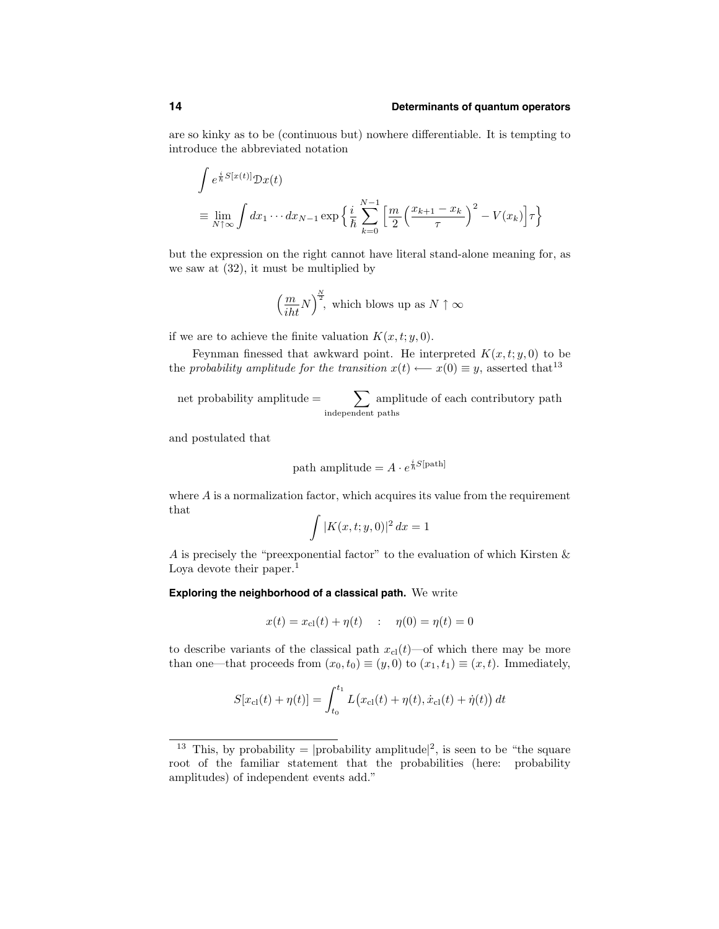are so kinky as to be (continuous but) nowhere differentiable. It is tempting to introduce the abbreviated notation

$$
\int e^{\frac{i}{\hbar}S[x(t)]} \mathcal{D}x(t)
$$
\n
$$
\equiv \lim_{N \uparrow \infty} \int dx_1 \cdots dx_{N-1} \exp \left\{ \frac{i}{\hbar} \sum_{k=0}^{N-1} \left[ \frac{m}{2} \left( \frac{x_{k+1} - x_k}{\tau} \right)^2 - V(x_k) \right] \tau \right\}
$$

but the expression on the right cannot have literal stand-alone meaning for, as we saw at (32), it must be multiplied by

$$
\left(\frac{m}{iht}N\right)^{\frac{N}{2}}
$$
, which blows up as  $N \uparrow \infty$ 

if we are to achieve the finite valuation  $K(x,t;y,0)$ .

Feynman finessed that awkward point. He interpreted  $K(x,t; y, 0)$  to be the probability amplitude for the transition  $x(t) \longleftarrow x(0) \equiv y$ , asserted that<sup>13</sup>

net probability amplitude  $=$ independent paths amplitude of each contributory path

and postulated that

path amplitude = 
$$
A \cdot e^{\frac{i}{\hbar}S[\text{path}]}
$$

where  $A$  is a normalization factor, which acquires its value from the requirement that

$$
\int |K(x,t;y,0)|^2 dx = 1
$$

A is precisely the "preexponential factor" to the evaluation of which Kirsten & Loya devote their paper.<sup>1</sup>

#### **Exploring the neighborhood of a classical path.** We write

$$
x(t) = x_{cl}(t) + \eta(t)
$$
 :  $\eta(0) = \eta(t) = 0$ 

to describe variants of the classical path  $x_{\text{cl}}(t)$ —of which there may be more than one—that proceeds from  $(x_0, t_0) \equiv (y, 0)$  to  $(x_1, t_1) \equiv (x, t)$ . Immediately,

$$
S[x_{\rm cl}(t) + \eta(t)] = \int_{t_0}^{t_1} L(x_{\rm cl}(t) + \eta(t), \dot{x}_{\rm cl}(t) + \dot{\eta}(t)) dt
$$

<sup>&</sup>lt;sup>13</sup> This, by probability =  $|$ probability amplitude<sup>[2</sup>], is seen to be "the square" root of the familiar statement that the probabilities (here: probability amplitudes) of independent events add."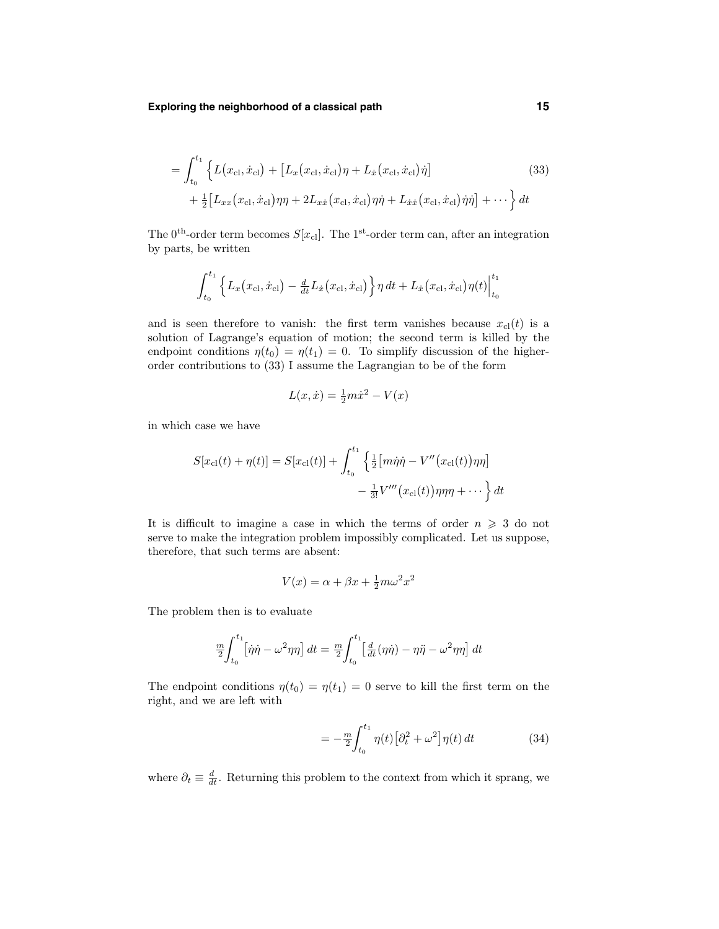**Exploring the neighborhood of a classical path 15**

$$
= \int_{t_0}^{t_1} \left\{ L(x_{\text{cl}}, \dot{x}_{\text{cl}}) + \left[ L_x(x_{\text{cl}}, \dot{x}_{\text{cl}}) \eta + L_{\dot{x}}(x_{\text{cl}}, \dot{x}_{\text{cl}}) \dot{\eta} \right] \right\} + \frac{1}{2} \left[ L_{xx}(x_{\text{cl}}, \dot{x}_{\text{cl}}) \eta \eta + 2L_{x\dot{x}}(x_{\text{cl}}, \dot{x}_{\text{cl}}) \eta \dot{\eta} + L_{\dot{x}\dot{x}}(x_{\text{cl}}, \dot{x}_{\text{cl}}) \dot{\eta} \dot{\eta} \right] + \cdots \right\} dt
$$
\n(33)

The 0<sup>th</sup>-order term becomes  $S[x_{\text{cl}}]$ . The 1<sup>st</sup>-order term can, after an integration by parts, be written

$$
\int_{t_0}^{t_1} \left\{ L_x(x_{\text{cl}}, \dot{x}_{\text{cl}}) - \frac{d}{dt} L_{\dot{x}}(x_{\text{cl}}, \dot{x}_{\text{cl}}) \right\} \eta \, dt + L_{\dot{x}}(x_{\text{cl}}, \dot{x}_{\text{cl}}) \eta(t) \Big|_{t_0}^{t_1}
$$

and is seen therefore to vanish: the first term vanishes because  $x_{\text{cl}}(t)$  is a solution of Lagrange's equation of motion; the second term is killed by the endpoint conditions  $\eta(t_0) = \eta(t_1) = 0$ . To simplify discussion of the higherorder contributions to (33) I assume the Lagrangian to be of the form

$$
L(x, \dot{x}) = \frac{1}{2}m\dot{x}^2 - V(x)
$$

in which case we have

$$
S[x_{\rm cl}(t) + \eta(t)] = S[x_{\rm cl}(t)] + \int_{t_0}^{t_1} \left\{ \frac{1}{2} \left[ m\dot{\eta}\dot{\eta} - V''(x_{\rm cl}(t))\eta\eta \right] - \frac{1}{3!}V'''(x_{\rm cl}(t))\eta\eta\eta + \cdots \right\} dt
$$

It is difficult to imagine a case in which the terms of order  $n \geq 3$  do not serve to make the integration problem impossibly complicated. Let us suppose, therefore, that such terms are absent:

$$
V(x) = \alpha + \beta x + \frac{1}{2}m\omega^2 x^2
$$

The problem then is to evaluate

$$
\frac{m}{2} \int_{t_0}^{t_1} \left[ \dot{\eta} \dot{\eta} - \omega^2 \eta \eta \right] dt = \frac{m}{2} \int_{t_0}^{t_1} \left[ \frac{d}{dt} (\eta \dot{\eta}) - \eta \ddot{\eta} - \omega^2 \eta \eta \right] dt
$$

The endpoint conditions  $\eta(t_0) = \eta(t_1) = 0$  serve to kill the first term on the right, and we are left with

$$
=-\frac{m}{2}\int_{t_0}^{t_1}\eta(t)\left[\partial_t^2+\omega^2\right]\eta(t)\,dt\tag{34}
$$

where  $\partial_t \equiv \frac{d}{dt}$ . Returning this problem to the context from which it sprang, we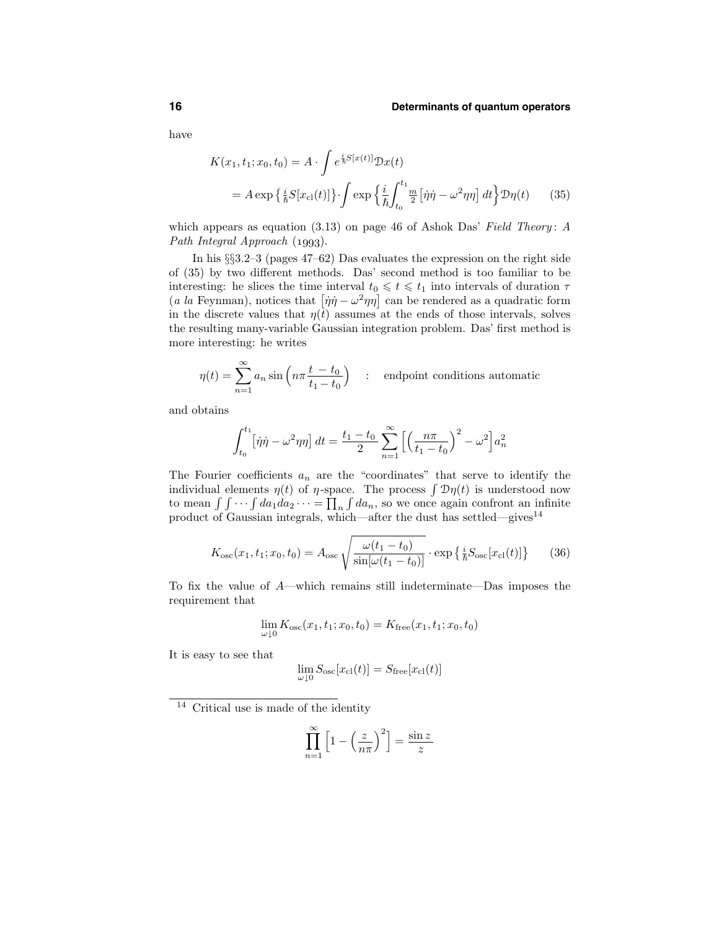have

$$
K(x_1, t_1; x_0, t_0) = A \cdot \int e^{\frac{i}{\hbar}S[x(t)]} \mathcal{D}x(t)
$$
  
=  $A \exp \left\{ \frac{i}{\hbar} S[x_{\text{cl}}(t)] \right\} \cdot \int \exp \left\{ \frac{i}{\hbar} \int_{t_0}^{t_1} \frac{m}{2} [\dot{\eta}\dot{\eta} - \omega^2 \eta \eta] dt \right\} \mathcal{D}\eta(t)$  (35)

which appears as equation (3.13) on page 46 of Ashok Das' Field Theory: A Path Integral Approach  $(1993)$ .

In his §§3.2–3 (pages 47–62) Das evaluates the expression on the right side of (35) by two different methods. Das' second method is too familiar to be interesting: he slices the time interval  $t_0 \leq t \leq t_1$  into intervals of duration  $\tau$ (*a la* Feynman), notices that  $[\dot{\eta}\dot{\eta} - \omega^2 \eta \eta]$  can be rendered as a quadratic form in the discrete values that  $\eta(t)$  assumes at the ends of those intervals, solves the resulting many-variable Gaussian integration problem. Das' first method is more interesting: he writes

$$
\eta(t) = \sum_{n=1}^{\infty} a_n \sin\left(n\pi \frac{t - t_0}{t_1 - t_0}\right) \quad : \quad \text{endpoint conditions automatic}
$$

and obtains

$$
\int_{t_0}^{t_1} [\dot{\eta}\dot{\eta} - \omega^2 \eta \eta] dt = \frac{t_1 - t_0}{2} \sum_{n=1}^{\infty} \left[ \left( \frac{n\pi}{t_1 - t_0} \right)^2 - \omega^2 \right] a_n^2
$$

The Fourier coefficients  $a_n$  are the "coordinates" that serve to identify the individual elements  $\eta(t)$  of  $\eta$ -space. The process  $\int \mathcal{D}\eta(t)$  is understood now to mean  $\int \int \cdots \int da_1 da_2 \cdots = \prod_n \int da_n$ , so we once again confront an infinite product of Gaussian integrals, which—after the dust has settled—gives<sup>14</sup>

$$
K_{\rm osc}(x_1, t_1; x_0, t_0) = A_{\rm osc} \sqrt{\frac{\omega(t_1 - t_0)}{\sin[\omega(t_1 - t_0)]}} \cdot \exp\left\{\frac{i}{\hbar} S_{\rm osc}[x_{\rm cl}(t)]\right\} \tag{36}
$$

To fix the value of A—which remains still indeterminate—Das imposes the requirement that

$$
\lim_{\omega \downarrow 0} K_{\rm osc}(x_1, t_1; x_0, t_0) = K_{\rm free}(x_1, t_1; x_0, t_0)
$$

It is easy to see that

$$
\lim_{\omega \downarrow 0} S_\text{osc}[x_\text{cl}(t)] = S_\text{free}[x_\text{cl}(t)]
$$

<sup>14</sup> Critical use is made of the identity

$$
\prod_{n=1}^{\infty} \left[ 1 - \left(\frac{z}{n\pi}\right)^2 \right] = \frac{\sin z}{z}
$$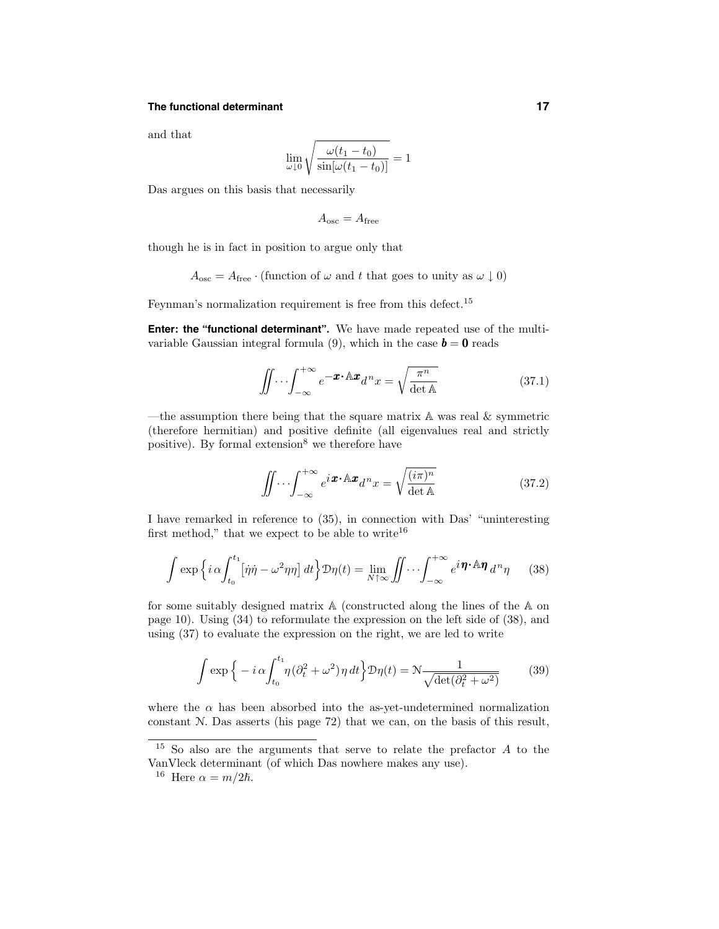## **The functional determinant 17**

and that

$$
\lim_{\omega \downarrow 0} \sqrt{\frac{\omega(t_1 - t_0)}{\sin[\omega(t_1 - t_0)]}} = 1
$$

Das argues on this basis that necessarily

$$
A_{\rm osc} = A_{\rm free}
$$

though he is in fact in position to argue only that

$$
A_{\text{osc}} = A_{\text{free}} \cdot (\text{function of } \omega \text{ and } t \text{ that goes to unity as } \omega \downarrow 0)
$$

Feynman's normalization requirement is free from this defect.<sup>15</sup>

**Enter: the "functional determinant".** We have made repeated use of the multivariable Gaussian integral formula (9), which in the case  $\mathbf{b} = \mathbf{0}$  reads

$$
\iint \cdots \int_{-\infty}^{+\infty} e^{-\boldsymbol{x} \cdot \mathbf{A} \cdot \boldsymbol{x}} d^n x = \sqrt{\frac{\pi^n}{\det \mathbf{A}}} \tag{37.1}
$$

—the assumption there being that the square matrix  $A$  was real  $\&$  symmetric (therefore hermitian) and positive definite (all eigenvalues real and strictly positive). By formal extension<sup>8</sup> we therefore have

$$
\iint \cdots \int_{-\infty}^{+\infty} e^{i\boldsymbol{x} \cdot \mathbb{A} \cdot \boldsymbol{x}} d^n x = \sqrt{\frac{(i\pi)^n}{\det \mathbb{A}}} \tag{37.2}
$$

I have remarked in reference to (35), in connection with Das' "uninteresting first method," that we expect to be able to write<sup>16</sup>

$$
\int \exp\left\{i\,\alpha \int_{t_0}^{t_1} \left[\dot{\eta}\dot{\eta} - \omega^2 \eta \eta\right] dt\right\} \mathcal{D}\eta(t) = \lim_{N \uparrow \infty} \iint \cdots \int_{-\infty}^{+\infty} e^{i\,\boldsymbol{\eta} \cdot \mathbb{A}\boldsymbol{\eta}} d^n \eta \tag{38}
$$

for some suitably designed matrix A (constructed along the lines of the A on page 10). Using (34) to reformulate the expression on the left side of (38), and using (37) to evaluate the expression on the right, we are led to write

$$
\int \exp\left\{-i\,\alpha \int_{t_0}^{t_1} \eta(\partial_t^2 + \omega^2)\,\eta\,dt\right\} \mathcal{D}\eta(t) = \mathcal{N}\frac{1}{\sqrt{\det(\partial_t^2 + \omega^2)}}\tag{39}
$$

where the  $\alpha$  has been absorbed into the as-yet-undetermined normalization constant N. Das asserts (his page 72) that we can, on the basis of this result,

<sup>15</sup> So also are the arguments that serve to relate the prefactor A to the VanVleck determinant (of which Das nowhere makes any use).

<sup>&</sup>lt;sup>16</sup> Here  $\alpha = m/2\hbar$ .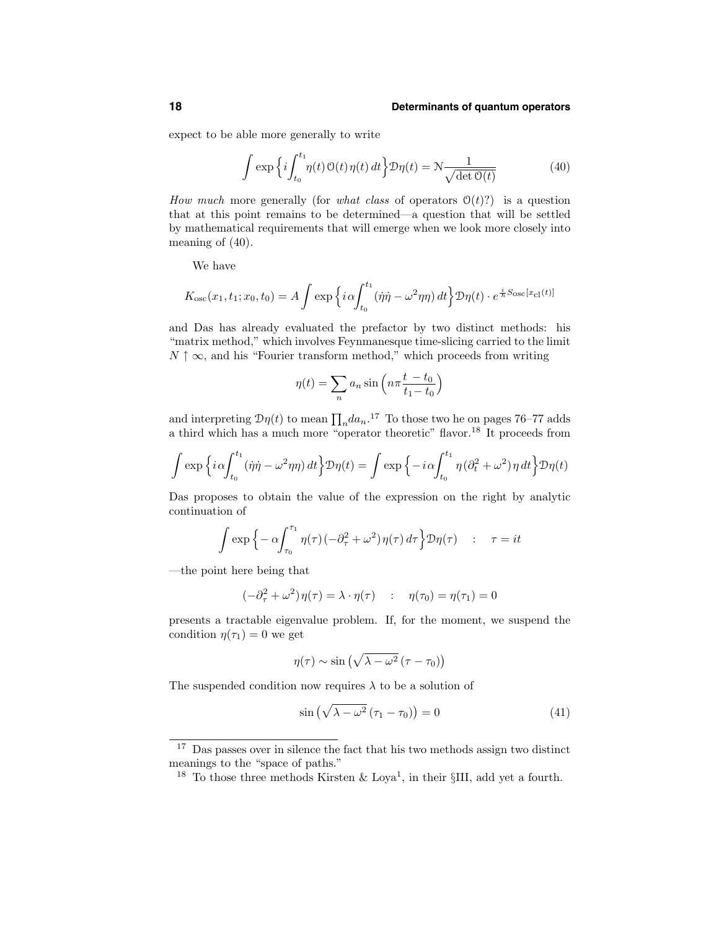expect to be able more generally to write

$$
\int \exp\left\{i \int_{t_0}^{t_1} \eta(t) \, \mathcal{O}(t) \, \eta(t) \, dt\right\} \mathcal{D}\eta(t) = \mathcal{N} \frac{1}{\sqrt{\det \mathcal{O}(t)}}\tag{40}
$$

How much more generally (for what class of operators  $\mathcal{O}(t)$ ?) is a question that at this point remains to be determined—a question that will be settled by mathematical requirements that will emerge when we look more closely into meaning of (40).

We have

$$
K_{\rm osc}(x_1, t_1; x_0, t_0) = A \int \exp \left\{ i \alpha \int_{t_0}^{t_1} (\dot{\eta} \dot{\eta} - \omega^2 \eta \eta) dt \right\} \mathcal{D}\eta(t) \cdot e^{\frac{i}{\hbar} S_{\rm osc}[x_{\rm cl}(t)]}
$$

and Das has already evaluated the prefactor by two distinct methods: his "matrix method," which involves Feynmanesque time-slicing carried to the limit  $N \uparrow \infty$ , and his "Fourier transform method," which proceeds from writing

$$
\eta(t) = \sum_{n} a_n \sin\left(n\pi \frac{t - t_0}{t_1 - t_0}\right)
$$

and interpreting  $\mathcal{D}\eta(t)$  to mean  $\prod_n da_n$ .<sup>17</sup> To those two he on pages 76–77 adds a third which has a much more "operator theoretic" flavor.<sup>18</sup> It proceeds from

$$
\int \exp\left\{i\alpha \int_{t_0}^{t_1} (\dot{\eta}\dot{\eta} - \omega^2 \eta\eta) dt\right\} \mathcal{D}\eta(t) = \int \exp\left\{-i\alpha \int_{t_0}^{t_1} \eta (\partial_t^2 + \omega^2) \eta dt\right\} \mathcal{D}\eta(t)
$$

Das proposes to obtain the value of the expression on the right by analytic continuation of

$$
\int \exp\left\{-\alpha \int_{\tau_0}^{\tau_1} \eta(\tau) \left(-\partial_\tau^2 + \omega^2\right) \eta(\tau) d\tau\right\} \mathcal{D}\eta(\tau) \quad : \quad \tau = it
$$

—the point here being that

$$
(-\partial_{\tau}^{2} + \omega^{2})\eta(\tau) = \lambda \cdot \eta(\tau) \quad : \quad \eta(\tau_{0}) = \eta(\tau_{1}) = 0
$$

presents a tractable eigenvalue problem. If, for the moment, we suspend the condition  $\eta(\tau_1) = 0$  we get

$$
\eta(\tau) \sim \sin\left(\sqrt{\lambda - \omega^2} (\tau - \tau_0)\right)
$$

The suspended condition now requires  $\lambda$  to be a solution of

$$
\sin\left(\sqrt{\lambda - \omega^2} \left(\tau_1 - \tau_0\right)\right) = 0\tag{41}
$$

<sup>&</sup>lt;sup>17</sup> Das passes over in silence the fact that his two methods assign two distinct meanings to the "space of paths."

<sup>&</sup>lt;sup>18</sup> To those three methods Kirsten & Loya<sup>1</sup>, in their §III, add yet a fourth.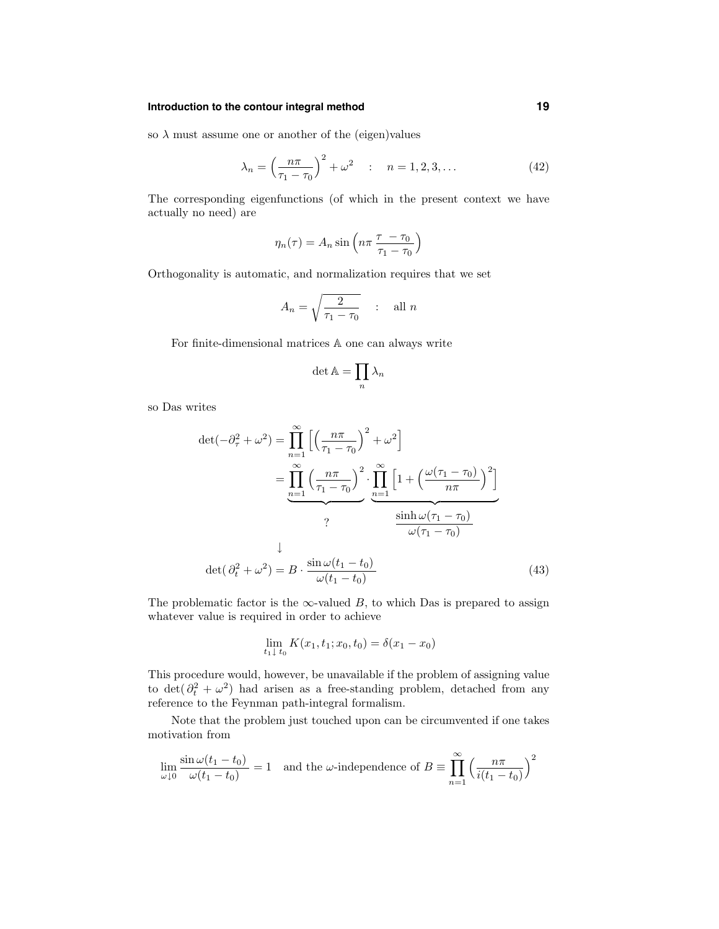## **Introduction to the contour integral method 19**

so  $\lambda$  must assume one or another of the (eigen)values

$$
\lambda_n = \left(\frac{n\pi}{\tau_1 - \tau_0}\right)^2 + \omega^2 \quad : \quad n = 1, 2, 3, \dots \tag{42}
$$

The corresponding eigenfunctions (of which in the present context we have actually no need) are

$$
\eta_n(\tau) = A_n \sin\left(n\pi \frac{\tau - \tau_0}{\tau_1 - \tau_0}\right)
$$

Orthogonality is automatic, and normalization requires that we set

$$
A_n = \sqrt{\frac{2}{\tau_1 - \tau_0}} \quad : \quad \text{all } n
$$

For finite-dimensional matrices A one can always write

$$
\det \mathbb{A} = \prod_n \lambda_n
$$

so Das writes

$$
\det(-\partial_{\tau}^{2} + \omega^{2}) = \prod_{n=1}^{\infty} \left[ \left( \frac{n\pi}{\tau_{1} - \tau_{0}} \right)^{2} + \omega^{2} \right]
$$

$$
= \prod_{n=1}^{\infty} \left( \frac{n\pi}{\tau_{1} - \tau_{0}} \right)^{2} \cdot \prod_{n=1}^{\infty} \left[ 1 + \left( \frac{\omega(\tau_{1} - \tau_{0})}{n\pi} \right)^{2} \right]
$$

$$
? \qquad \frac{\sinh \omega(\tau_{1} - \tau_{0})}{\omega(\tau_{1} - \tau_{0})}
$$

$$
\det(\partial_{t}^{2} + \omega^{2}) = B \cdot \frac{\sin \omega(t_{1} - t_{0})}{\omega(t_{1} - t_{0})}
$$
(43)

The problematic factor is the  $\infty$ -valued B, to which Das is prepared to assign whatever value is required in order to achieve

$$
\lim_{t_1 \downarrow t_0} K(x_1, t_1; x_0, t_0) = \delta(x_1 - x_0)
$$

This procedure would, however, be unavailable if the problem of assigning value to det( $\partial_t^2 + \omega^2$ ) had arisen as a free-standing problem, detached from any reference to the Feynman path-integral formalism.

Note that the problem just touched upon can be circumvented if one takes motivation from

$$
\lim_{\omega \downarrow 0} \frac{\sin \omega (t_1 - t_0)}{\omega (t_1 - t_0)} = 1
$$
 and the  $\omega$ -independence of  $B \equiv \prod_{n=1}^{\infty} \left( \frac{n\pi}{i(t_1 - t_0)} \right)^2$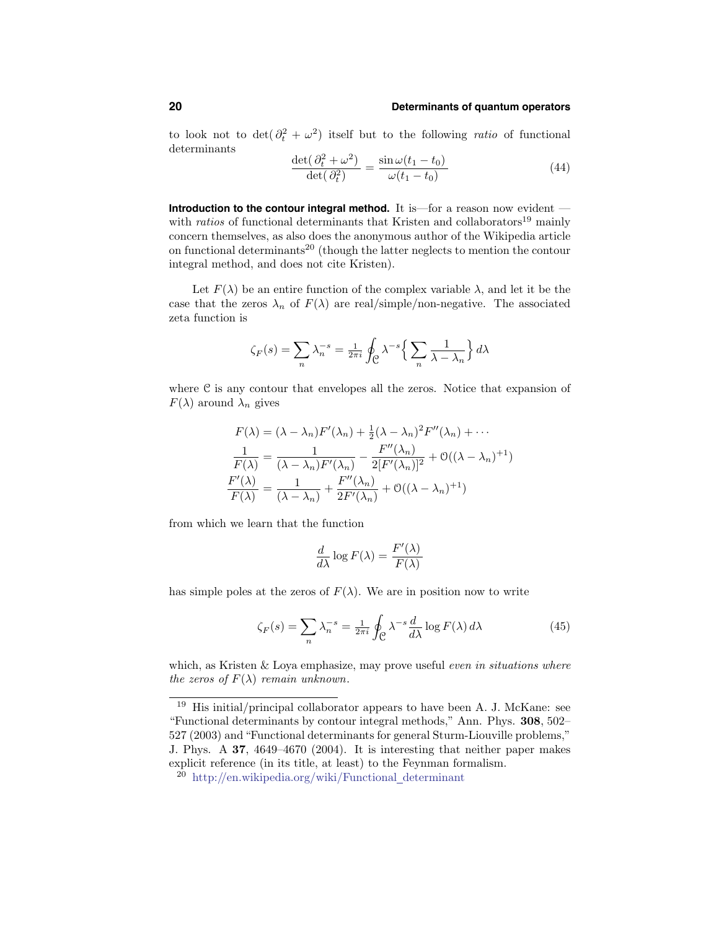to look not to  $\det(\partial_t^2 + \omega^2)$  itself but to the following *ratio* of functional determinants

$$
\frac{\det(\partial_t^2 + \omega^2)}{\det(\partial_t^2)} = \frac{\sin \omega (t_1 - t_0)}{\omega (t_1 - t_0)}
$$
(44)

**Introduction to the contour integral method.** It is—for a reason now evident with *ratios* of functional determinants that Kristen and collaborators<sup>19</sup> mainly concern themselves, as also does the anonymous author of the Wikipedia article on functional determinants<sup>20</sup> (though the latter neglects to mention the contour integral method, and does not cite Kristen).

Let  $F(\lambda)$  be an entire function of the complex variable  $\lambda$ , and let it be the case that the zeros  $\lambda_n$  of  $F(\lambda)$  are real/simple/non-negative. The associated zeta function is

$$
\zeta_F(s) = \sum_n \lambda_n^{-s} = \frac{1}{2\pi i} \oint_{\mathcal{C}} \lambda^{-s} \left\{ \sum_n \frac{1}{\lambda - \lambda_n} \right\} d\lambda
$$

where  $C$  is any contour that envelopes all the zeros. Notice that expansion of  $F(\lambda)$  around  $\lambda_n$  gives

$$
F(\lambda) = (\lambda - \lambda_n)F'(\lambda_n) + \frac{1}{2}(\lambda - \lambda_n)^2 F''(\lambda_n) + \cdots
$$

$$
\frac{1}{F(\lambda)} = \frac{1}{(\lambda - \lambda_n)F'(\lambda_n)} - \frac{F''(\lambda_n)}{2[F'(\lambda_n)]^2} + \mathcal{O}((\lambda - \lambda_n)^{+1})
$$

$$
\frac{F'(\lambda)}{F(\lambda)} = \frac{1}{(\lambda - \lambda_n)} + \frac{F''(\lambda_n)}{2F'(\lambda_n)} + \mathcal{O}((\lambda - \lambda_n)^{+1})
$$

from which we learn that the function

$$
\frac{d}{d\lambda}\log F(\lambda) = \frac{F'(\lambda)}{F(\lambda)}
$$

has simple poles at the zeros of  $F(\lambda)$ . We are in position now to write

$$
\zeta_F(s) = \sum_n \lambda_n^{-s} = \frac{1}{2\pi i} \oint_{\mathcal{C}} \lambda^{-s} \frac{d}{d\lambda} \log F(\lambda) d\lambda \tag{45}
$$

which, as Kristen  $&$  Loya emphasize, may prove useful *even in situations where* the zeros of  $F(\lambda)$  remain unknown.

 $\frac{19}{19}$  His initial/principal collaborator appears to have been A. J. McKane: see "Functional determinants by contour integral methods," Ann. Phys. 308, 502– 527 (2003) and"Functional determinants for general Sturm-Liouville problems," J. Phys. A 37, 4649–4670 (2004). It is interesting that neither paper makes explicit reference (in its title, at least) to the Feynman formalism.

<sup>20</sup> http://en.wikipedia.org/wiki/Functional determinant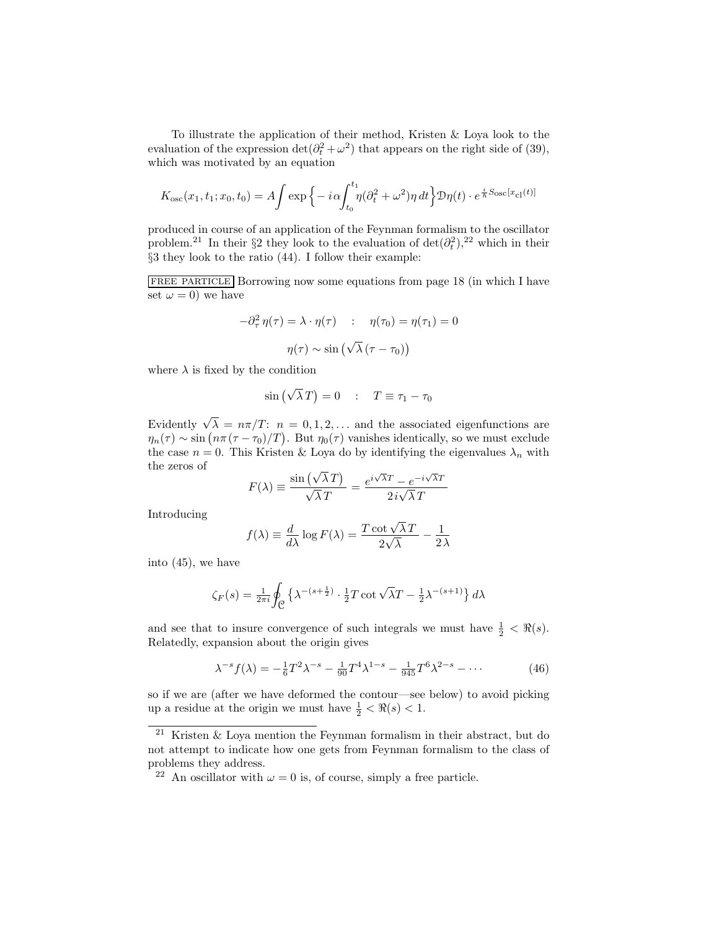To illustrate the application of their method, Kristen & Loya look to the evaluation of the expression  $\det(\partial_t^2 + \omega^2)$  that appears on the right side of (39), which was motivated by an equation

$$
K_{\rm osc}(x_1, t_1; x_0, t_0) = A \int \exp\left\{-i\alpha \int_{t_0}^{t_1} \eta(\partial_t^2 + \omega^2) \eta \, dt\right\} \mathcal{D}\eta(t) \cdot e^{\frac{i}{\hbar}S_{\rm osc}[x_{\rm cl}(t)]}
$$

produced in course of an application of the Feynman formalism to the oscillator problem.<sup>21</sup> In their §2 they look to the evaluation of  $\det(\partial_t^2)$ ,<sup>22</sup> which in their §3 they look to the ratio (44). I follow their example:

FREE PARTICLE Borrowing now some equations from page 18 (in which I have set  $\omega = 0$ ) we have

$$
-\partial_{\tau}^{2} \eta(\tau) = \lambda \cdot \eta(\tau) \quad : \quad \eta(\tau_{0}) = \eta(\tau_{1}) = 0
$$

$$
\eta(\tau) \sim \sin\left(\sqrt{\lambda} (\tau - \tau_{0})\right)
$$

where  $\lambda$  is fixed by the condition

$$
\sin\left(\sqrt{\lambda}\,T\right) = 0 \quad : \quad T \equiv \tau_1 - \tau_0
$$

Evidently  $\sqrt{\lambda} = n\pi/T$ :  $n = 0, 1, 2, \dots$  and the associated eigenfunctions are  $\eta_n(\tau) \sim \sin(n\pi(\tau - \tau_0)/T)$ . But  $\eta_0(\tau)$  vanishes identically, so we must exclude the case  $n = 0$ . This Kristen & Loya do by identifying the eigenvalues  $\lambda_n$  with the zeros of

$$
F(\lambda) \equiv \frac{\sin(\sqrt{\lambda}T)}{\sqrt{\lambda}T} = \frac{e^{i\sqrt{\lambda}T} - e^{-i\sqrt{\lambda}T}}{2i\sqrt{\lambda}T}
$$

Introducing

$$
f(\lambda) \equiv \frac{d}{d\lambda} \log F(\lambda) = \frac{T \cot \sqrt{\lambda} T}{2\sqrt{\lambda}} - \frac{1}{2\lambda}
$$

into (45), we have

$$
\zeta_F(s) = \frac{1}{2\pi i} \oint_C \left\{ \lambda^{-(s+\frac{1}{2})} \cdot \frac{1}{2} T \cot \sqrt{\lambda} T - \frac{1}{2} \lambda^{-(s+1)} \right\} d\lambda
$$

and see that to insure convergence of such integrals we must have  $\frac{1}{2} < \Re(s)$ . Relatedly, expansion about the origin gives

$$
\lambda^{-s} f(\lambda) = -\frac{1}{6} T^2 \lambda^{-s} - \frac{1}{90} T^4 \lambda^{1-s} - \frac{1}{945} T^6 \lambda^{2-s} - \dots \tag{46}
$$

so if we are (after we have deformed the contour—see below) to avoid picking up a residue at the origin we must have  $\frac{1}{2} < \Re(s) < 1$ .

<sup>21</sup> Kristen & Loya mention the Feynman formalism in their abstract, but do not attempt to indicate how one gets from Feynman formalism to the class of problems they address.

<sup>&</sup>lt;sup>22</sup> An oscillator with  $\omega = 0$  is, of course, simply a free particle.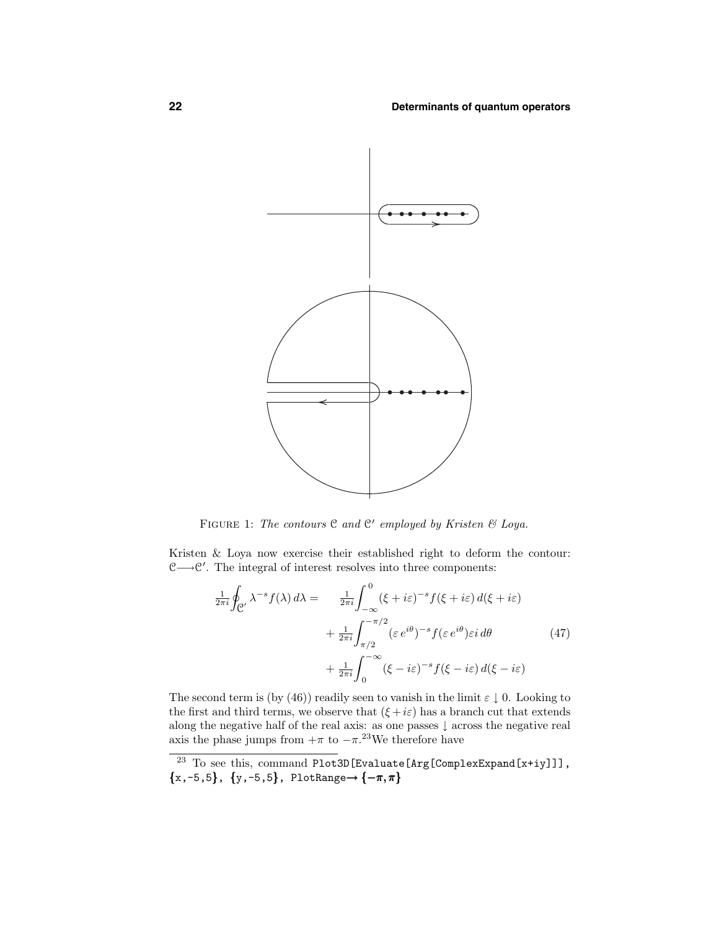

FIGURE 1: The contours  $C$  and  $C'$  employed by Kristen  $\mathcal C'$  Loya.

Kristen & Loya now exercise their established right to deform the contour: C→C'. The integral of interest resolves into three components:

$$
\frac{1}{2\pi i} \oint_{\mathcal{C}'} \lambda^{-s} f(\lambda) d\lambda = \frac{1}{2\pi i} \int_{-\infty}^{0} (\xi + i\varepsilon)^{-s} f(\xi + i\varepsilon) d(\xi + i\varepsilon)
$$

$$
+ \frac{1}{2\pi i} \int_{\pi/2}^{-\pi/2} (\varepsilon e^{i\theta})^{-s} f(\varepsilon e^{i\theta}) \varepsilon i d\theta \qquad (47)
$$

$$
+ \frac{1}{2\pi i} \int_{0}^{-\infty} (\xi - i\varepsilon)^{-s} f(\xi - i\varepsilon) d(\xi - i\varepsilon)
$$

The second term is (by (46)) readily seen to vanish in the limit  $\varepsilon \downarrow 0$ . Looking to the first and third terms, we observe that  $(\xi + i\varepsilon)$  has a branch cut that extends along the negative half of the real axis: as one passes ↓ across the negative real axis the phase jumps from  $+\pi$  to  $-\pi$ .<sup>23</sup>We therefore have

<sup>&</sup>lt;sup>23</sup> To see this, command Plot3D[Evaluate[Arg[ComplexExpand[x+iy]]],  ${x,-5,5}$ ,  ${y,-5,5}$ , PlotRange→  ${-\pi,\pi}$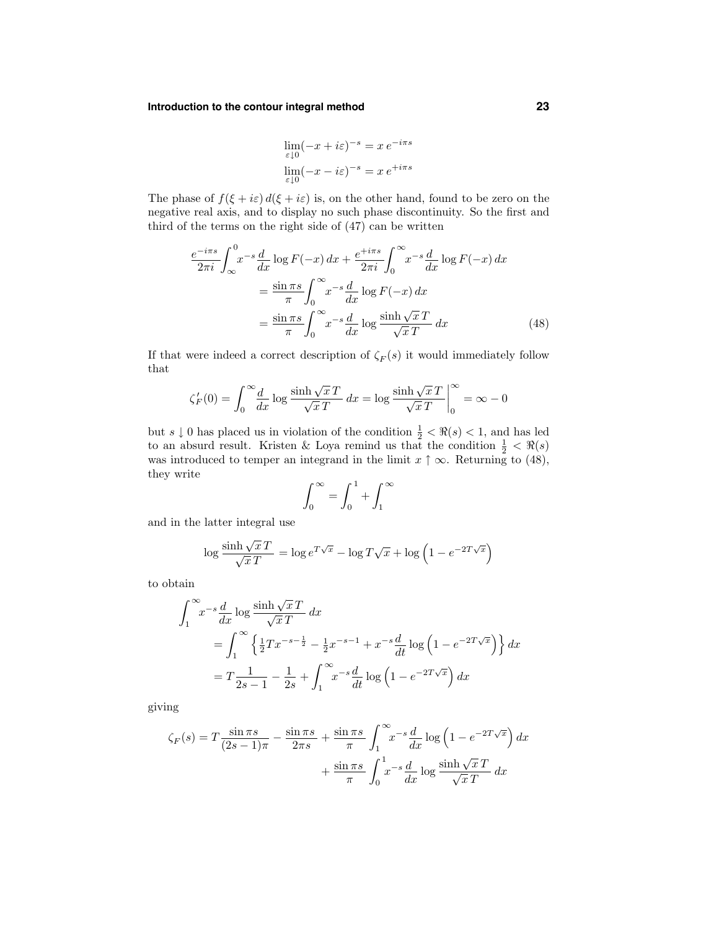## **Introduction to the contour integral method 23**

$$
\lim_{\varepsilon \downarrow 0} (-x + i\varepsilon)^{-s} = x e^{-i\pi s}
$$

$$
\lim_{\varepsilon \downarrow 0} (-x - i\varepsilon)^{-s} = x e^{+i\pi s}
$$

The phase of  $f(\xi + i\varepsilon) d(\xi + i\varepsilon)$  is, on the other hand, found to be zero on the negative real axis, and to display no such phase discontinuity. So the first and third of the terms on the right side of (47) can be written

$$
\frac{e^{-i\pi s}}{2\pi i} \int_{\infty}^{0} x^{-s} \frac{d}{dx} \log F(-x) dx + \frac{e^{+i\pi s}}{2\pi i} \int_{0}^{\infty} x^{-s} \frac{d}{dx} \log F(-x) dx
$$

$$
= \frac{\sin \pi s}{\pi} \int_{0}^{\infty} x^{-s} \frac{d}{dx} \log F(-x) dx
$$

$$
= \frac{\sin \pi s}{\pi} \int_{0}^{\infty} x^{-s} \frac{d}{dx} \log \frac{\sinh \sqrt{x} T}{\sqrt{x} T} dx
$$
(48)

If that were indeed a correct description of  $\zeta_F(s)$  it would immediately follow that

$$
\zeta_F'(0) = \int_0^\infty \frac{d}{dx} \log \frac{\sinh \sqrt{x} T}{\sqrt{x} T} dx = \log \frac{\sinh \sqrt{x} T}{\sqrt{x} T} \Big|_0^\infty = \infty - 0
$$

but  $s \downarrow 0$  has placed us in violation of the condition  $\frac{1}{2} < \Re(s) < 1$ , and has led to an absurd result. Kristen & Loya remind us that the condition  $\frac{1}{2} < \Re(s)$ was introduced to temper an integrand in the limit  $x \uparrow \infty$ . Returning to (48), they write

$$
\int_0^\infty = \int_0^1 + \int_1^\infty
$$

and in the latter integral use

$$
\log \frac{\sinh \sqrt{x} T}{\sqrt{x} T} = \log e^{T\sqrt{x}} - \log T\sqrt{x} + \log \left(1 - e^{-2T\sqrt{x}}\right)
$$

to obtain

$$
\int_{1}^{\infty} x^{-s} \frac{d}{dx} \log \frac{\sinh \sqrt{x} T}{\sqrt{x} T} dx
$$
  
= 
$$
\int_{1}^{\infty} \left\{ \frac{1}{2} T x^{-s - \frac{1}{2}} - \frac{1}{2} x^{-s - 1} + x^{-s} \frac{d}{dt} \log \left( 1 - e^{-2T \sqrt{x}} \right) \right\} dx
$$
  
= 
$$
T \frac{1}{2s - 1} - \frac{1}{2s} + \int_{1}^{\infty} x^{-s} \frac{d}{dt} \log \left( 1 - e^{-2T \sqrt{x}} \right) dx
$$

giving

$$
\zeta_F(s) = T \frac{\sin \pi s}{(2s - 1)\pi} - \frac{\sin \pi s}{2\pi s} + \frac{\sin \pi s}{\pi} \int_1^\infty x^{-s} \frac{d}{dx} \log \left( 1 - e^{-2T\sqrt{x}} \right) dx
$$

$$
+ \frac{\sin \pi s}{\pi} \int_0^1 x^{-s} \frac{d}{dx} \log \frac{\sinh \sqrt{x}T}{\sqrt{x}T} dx
$$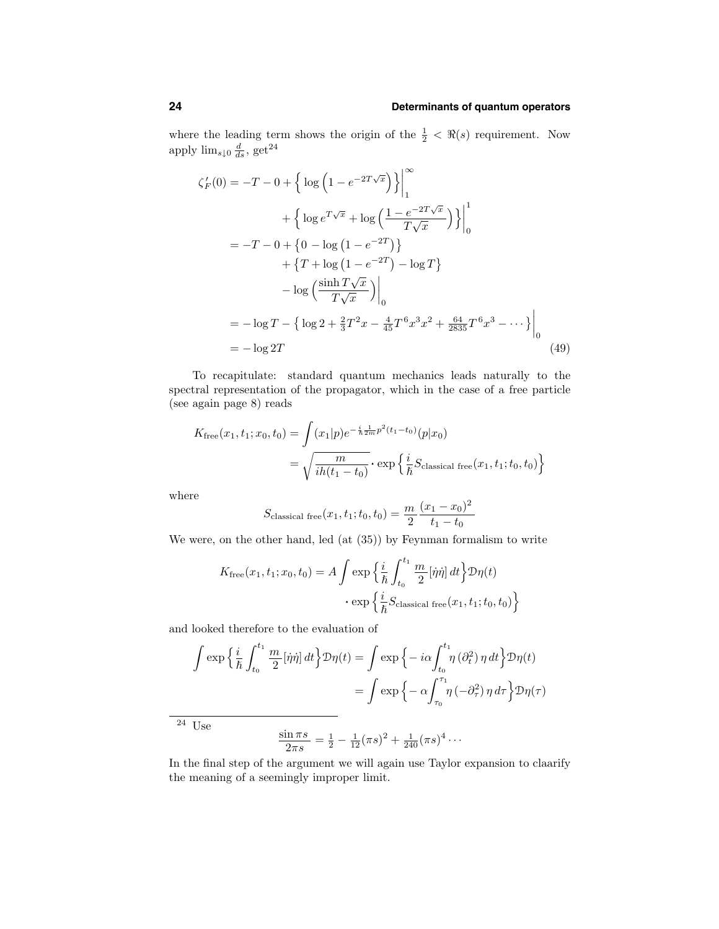where the leading term shows the origin of the  $\frac{1}{2} < \Re(s)$  requirement. Now apply  $\lim_{s\downarrow 0} \frac{d}{ds}$ , get<sup>24</sup>

$$
\zeta_F'(0) = -T - 0 + \left\{ \log \left( 1 - e^{-2T\sqrt{x}} \right) \right\} \Big|_1^{\infty}
$$
  
+ 
$$
\left\{ \log e^{T\sqrt{x}} + \log \left( \frac{1 - e^{-2T\sqrt{x}}}{T\sqrt{x}} \right) \right\} \Big|_0^1
$$
  
= 
$$
-T - 0 + \left\{ 0 - \log \left( 1 - e^{-2T} \right) \right\}
$$
  
+ 
$$
\left\{ T + \log \left( 1 - e^{-2T} \right) - \log T \right\}
$$
  
- 
$$
\log \left( \frac{\sinh T\sqrt{x}}{T\sqrt{x}} \right) \Big|_0^1
$$
  
= 
$$
- \log T - \left\{ \log 2 + \frac{2}{3}T^2x - \frac{4}{45}T^6x^3x^2 + \frac{64}{2835}T^6x^3 - \cdots \right\} \Big|_0^1
$$
  
= 
$$
- \log 2T
$$
 (49)

To recapitulate: standard quantum mechanics leads naturally to the spectral representation of the propagator, which in the case of a free particle (see again page 8) reads

$$
K_{\text{free}}(x_1, t_1; x_0, t_0) = \int (x_1|p)e^{-\frac{i}{\hbar} \frac{1}{2m} p^2 (t_1 - t_0)}(p|x_0)
$$
  
=  $\sqrt{\frac{m}{ih(t_1 - t_0)}} \cdot \exp\left\{\frac{i}{\hbar} S_{\text{classical free}}(x_1, t_1; t_0, t_0)\right\}$ 

where

$$
S_{\text{classical free}}(x_1, t_1; t_0, t_0) = \frac{m}{2} \frac{(x_1 - x_0)^2}{t_1 - t_0}
$$

We were, on the other hand, led (at (35)) by Feynman formalism to write

$$
K_{\text{free}}(x_1, t_1; x_0, t_0) = A \int \exp\left\{\frac{i}{\hbar} \int_{t_0}^{t_1} \frac{m}{2} [\dot{\eta}\dot{\eta}] dt\right\} \mathcal{D}\eta(t)
$$

$$
\cdot \exp\left\{\frac{i}{\hbar} S_{\text{classical free}}(x_1, t_1; t_0, t_0)\right\}
$$

and looked therefore to the evaluation of

$$
\int \exp\left\{\frac{i}{\hbar} \int_{t_0}^{t_1} \frac{m}{2} [\dot{\eta}\dot{\eta}] dt\right\} \mathcal{D}\eta(t) = \int \exp\left\{-i\alpha \int_{t_0}^{t_1} \eta\left(\partial_t^2\right) \eta dt\right\} \mathcal{D}\eta(t)
$$

$$
= \int \exp\left\{-\alpha \int_{\tau_0}^{\tau_1} \eta\left(-\partial_\tau^2\right) \eta d\tau\right\} \mathcal{D}\eta(\tau)
$$

 $\overline{\begin{array}{c} 24 \end{array}}$  Use

$$
\frac{\sin \pi s}{2\pi s} = \frac{1}{2} - \frac{1}{12} (\pi s)^2 + \frac{1}{240} (\pi s)^4 \cdots
$$

In the final step of the argument we will again use Taylor expansion to claarify the meaning of a seemingly improper limit.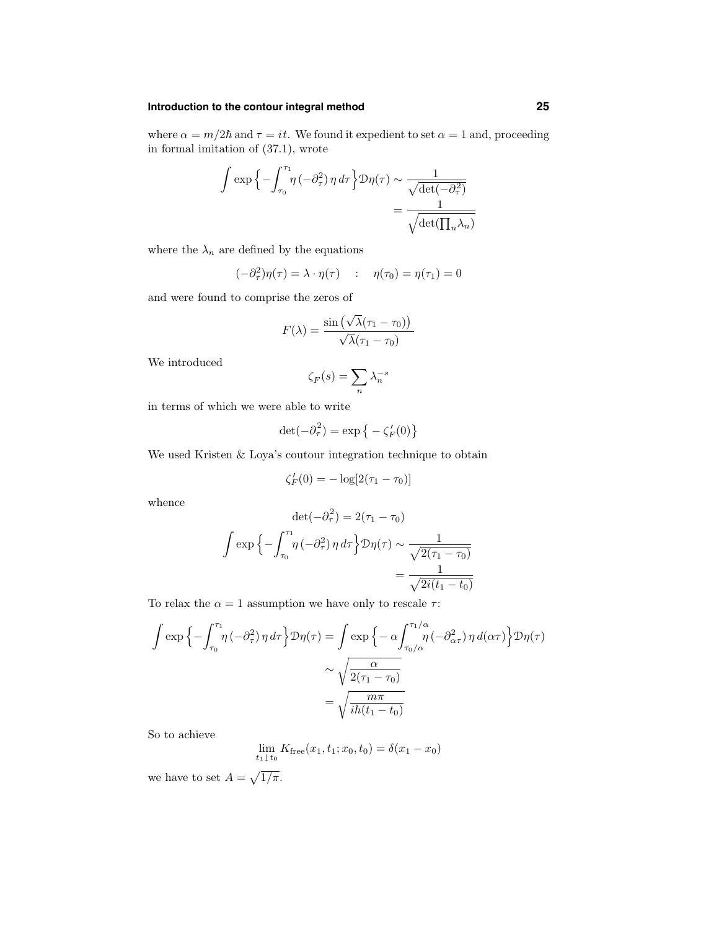## **Introduction to the contour integral method 25**

where  $\alpha = m/2\hbar$  and  $\tau = it$ . We found it expedient to set  $\alpha = 1$  and, proceeding in formal imitation of (37.1), wrote

$$
\int \exp\left\{-\int_{\tau_0}^{\tau_1} \eta\left(-\partial_{\tau}^2\right) \eta \, d\tau\right\} \mathcal{D}\eta(\tau) \sim \frac{1}{\sqrt{\det(-\partial_{\tau}^2)}}
$$
\n
$$
= \frac{1}{\sqrt{\det(\prod_n \lambda_n)}}
$$

where the  $\lambda_n$  are defined by the equations

$$
(-\partial_{\tau}^{2})\eta(\tau) = \lambda \cdot \eta(\tau) \qquad : \quad \eta(\tau_{0}) = \eta(\tau_{1}) = 0
$$

and were found to comprise the zeros of

$$
F(\lambda) = \frac{\sin(\sqrt{\lambda}(\tau_1 - \tau_0))}{\sqrt{\lambda}(\tau_1 - \tau_0)}
$$

We introduced

$$
\zeta_F(s) = \sum_n \lambda_n^{-s}
$$

in terms of which we were able to write

$$
\det(-\partial_{\tau}^{2}) = \exp \left\{-\zeta_{F}'(0)\right\}
$$

We used Kristen & Loya's coutour integration technique to obtain

$$
\zeta_F'(0) = -\log[2(\tau_1 - \tau_0)]
$$

whence

$$
\det(-\partial_{\tau}^{2}) = 2(\tau_{1} - \tau_{0})
$$

$$
\int \exp\left\{-\int_{\tau_{0}}^{\tau_{1}} \eta\left(-\partial_{\tau}^{2}\right) \eta d\tau\right\} \mathcal{D}\eta(\tau) \sim \frac{1}{\sqrt{2(\tau_{1} - \tau_{0})}}
$$

$$
= \frac{1}{\sqrt{2i(t_{1} - t_{0})}}
$$

To relax the  $\alpha = 1$  assumption we have only to rescale  $\tau$ :

$$
\int \exp\left\{-\int_{\tau_0}^{\tau_1} \eta\left(-\partial_{\tau}^2\right) \eta \, d\tau\right\} \mathcal{D}\eta(\tau) = \int \exp\left\{-\alpha \int_{\tau_0/\alpha}^{\tau_1/\alpha} \eta\left(-\partial_{\alpha\tau}^2\right) \eta \, d(\alpha\tau)\right\} \mathcal{D}\eta(\tau)
$$

$$
\sim \sqrt{\frac{\alpha}{2(\tau_1 - \tau_0)}}
$$

$$
= \sqrt{\frac{m\pi}{ih(t_1 - t_0)}}
$$

So to achieve

$$
\lim_{t_1 \downarrow t_0} K_{\text{free}}(x_1, t_1; x_0, t_0) = \delta(x_1 - x_0)
$$

we have to set  $A = \sqrt{1/\pi}$ .